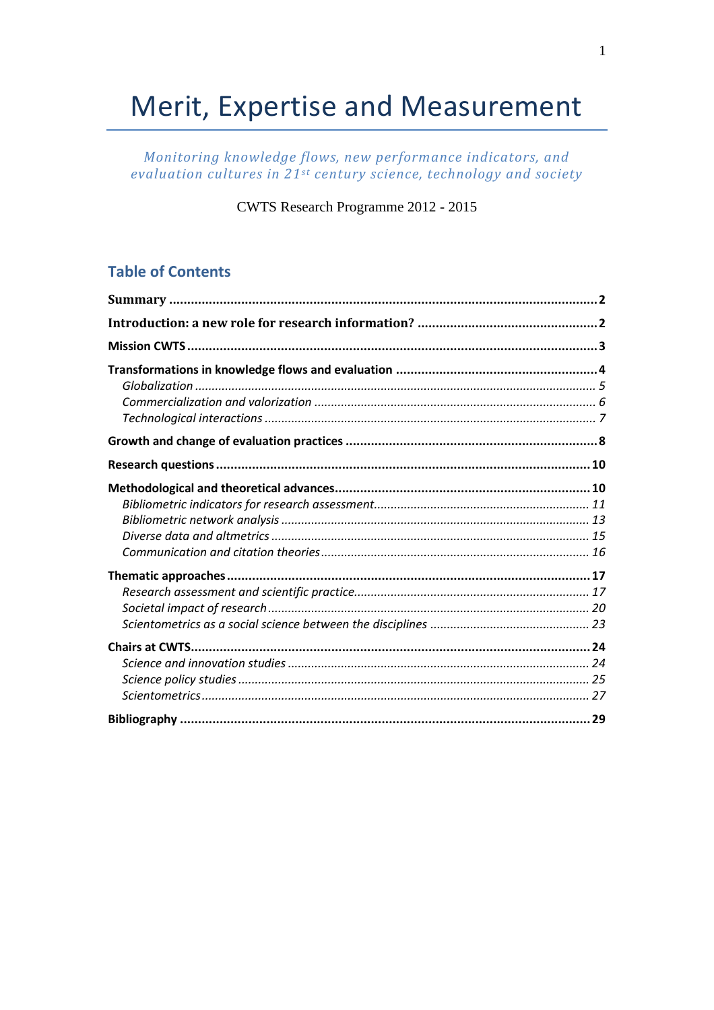# Merit, Expertise and Measurement

Monitoring knowledge flows, new performance indicators, and evaluation cultures in 21st century science, technology and society

CWTS Research Programme 2012 - 2015

# **Table of Contents**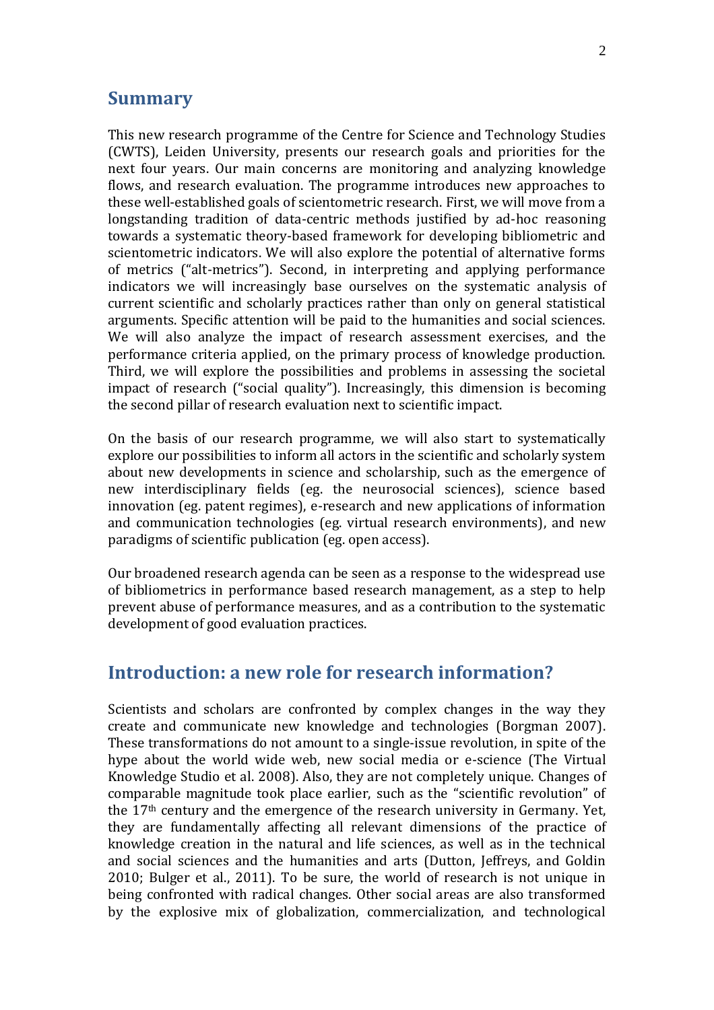## **Summary**

This new research programme of the Centre for Science and Technology Studies (CWTS), Leiden University, presents our research goals and priorities for the next four years. Our main concerns are monitoring and analyzing knowledge flows, and research evaluation. The programme introduces new approaches to these well-established goals of scientometric research. First, we will move from a longstanding tradition of data-centric methods justified by ad-hoc reasoning towards a systematic theory-based framework for developing bibliometric and scientometric indicators. We will also explore the potential of alternative forms of metrics ("alt-metrics"). Second, in interpreting and applying performance indicators we will increasingly base ourselves on the systematic analysis of current scientific and scholarly practices rather than only on general statistical arguments. Specific attention will be paid to the humanities and social sciences. We will also analyze the impact of research assessment exercises, and the performance criteria applied, on the primary process of knowledge production. Third, we will explore the possibilities and problems in assessing the societal impact of research ("social quality"). Increasingly, this dimension is becoming the second pillar of research evaluation next to scientific impact.

On the basis of our research programme, we will also start to systematically explore our possibilities to inform all actors in the scientific and scholarly system about new developments in science and scholarship, such as the emergence of new interdisciplinary fields (eg. the neurosocial sciences), science based innovation (eg. patent regimes), e-research and new applications of information and communication technologies (eg. virtual research environments), and new paradigms of scientific publication (eg. open access).

Our broadened research agenda can be seen as a response to the widespread use of bibliometrics in performance based research management, as a step to help prevent abuse of performance measures, and as a contribution to the systematic development of good evaluation practices.

# **Introduction: a new role for research information?**

Scientists and scholars are confronted by complex changes in the way they create and communicate new knowledge and technologies (Borgman 2007). These transformations do not amount to a single-issue revolution, in spite of the hype about the world wide web, new social media or e-science (The Virtual Knowledge Studio et al. 2008). Also, they are not completely unique. Changes of comparable magnitude took place earlier, such as the "scientific revolution" of the 17th century and the emergence of the research university in Germany. Yet, they are fundamentally affecting all relevant dimensions of the practice of knowledge creation in the natural and life sciences, as well as in the technical and social sciences and the humanities and arts (Dutton, Jeffreys, and Goldin 2010; Bulger et al., 2011). To be sure, the world of research is not unique in being confronted with radical changes. Other social areas are also transformed by the explosive mix of globalization, commercialization, and technological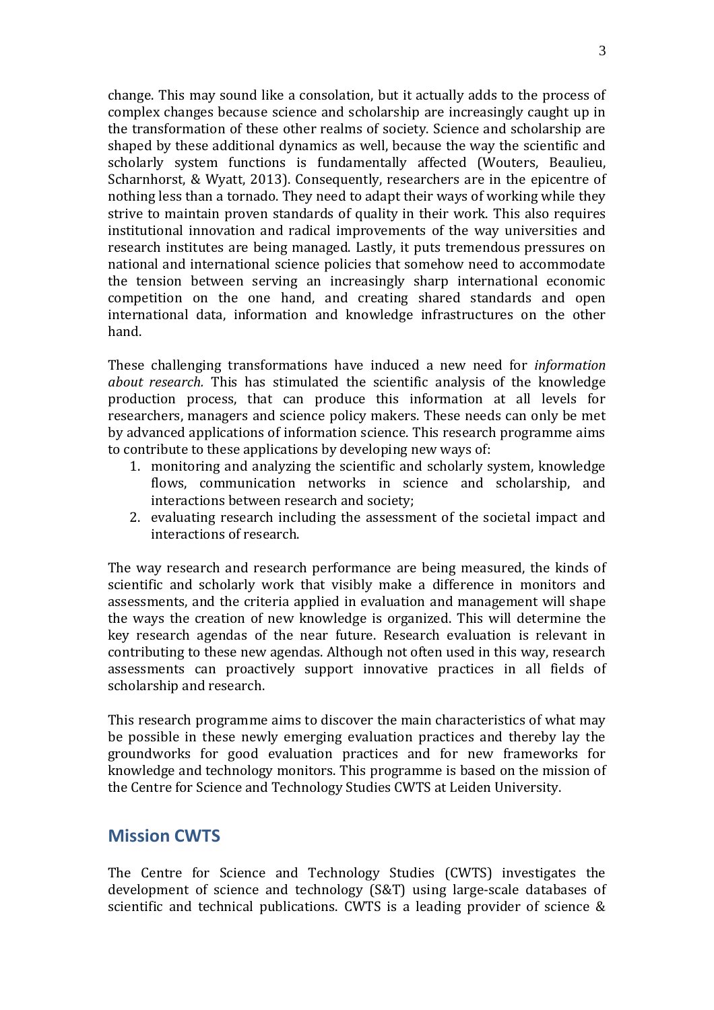change. This may sound like a consolation, but it actually adds to the process of complex changes because science and scholarship are increasingly caught up in the transformation of these other realms of society. Science and scholarship are shaped by these additional dynamics as well, because the way the scientific and scholarly system functions is fundamentally affected (Wouters, Beaulieu, Scharnhorst, & Wyatt, 2013). Consequently, researchers are in the epicentre of nothing less than a tornado. They need to adapt their ways of working while they strive to maintain proven standards of quality in their work. This also requires institutional innovation and radical improvements of the way universities and research institutes are being managed. Lastly, it puts tremendous pressures on national and international science policies that somehow need to accommodate the tension between serving an increasingly sharp international economic competition on the one hand, and creating shared standards and open international data, information and knowledge infrastructures on the other hand.

These challenging transformations have induced a new need for *information about research.* This has stimulated the scientific analysis of the knowledge production process, that can produce this information at all levels for researchers, managers and science policy makers. These needs can only be met by advanced applications of information science. This research programme aims to contribute to these applications by developing new ways of:

- 1. monitoring and analyzing the scientific and scholarly system, knowledge flows, communication networks in science and scholarship, and interactions between research and society;
- 2. evaluating research including the assessment of the societal impact and interactions of research.

The way research and research performance are being measured, the kinds of scientific and scholarly work that visibly make a difference in monitors and assessments, and the criteria applied in evaluation and management will shape the ways the creation of new knowledge is organized. This will determine the key research agendas of the near future. Research evaluation is relevant in contributing to these new agendas. Although not often used in this way, research assessments can proactively support innovative practices in all fields of scholarship and research.

This research programme aims to discover the main characteristics of what may be possible in these newly emerging evaluation practices and thereby lay the groundworks for good evaluation practices and for new frameworks for knowledge and technology monitors. This programme is based on the mission of the Centre for Science and Technology Studies CWTS at Leiden University.

## **Mission CWTS**

The Centre for Science and Technology Studies (CWTS) investigates the development of science and technology (S&T) using large-scale databases of scientific and technical publications. CWTS is a leading provider of science &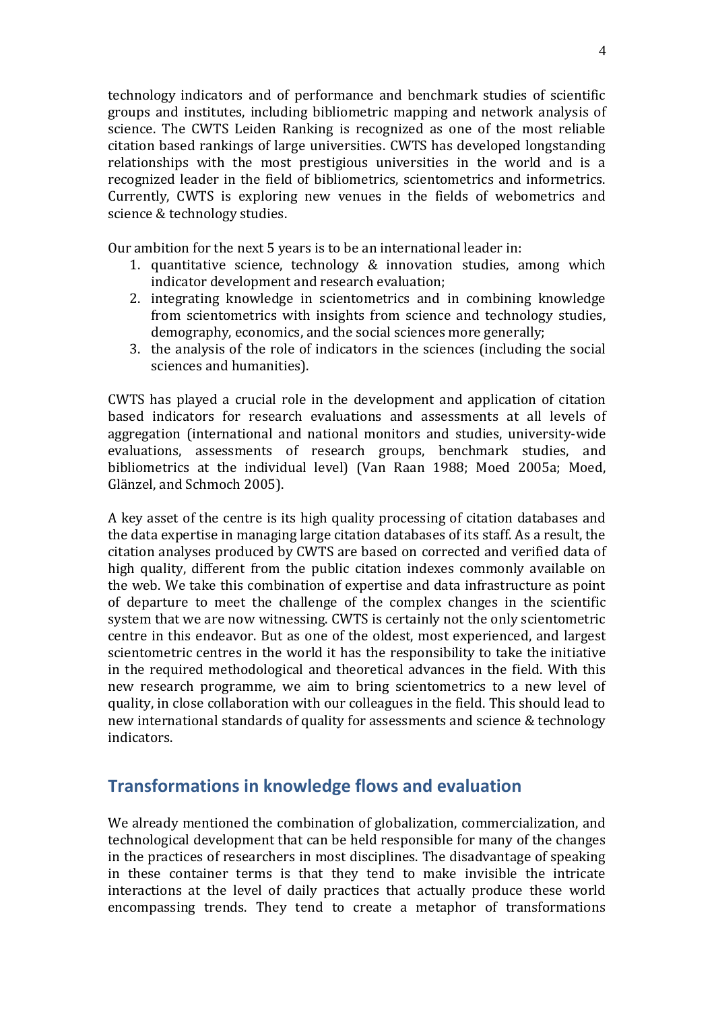technology indicators and of performance and benchmark studies of scientific groups and institutes, including bibliometric mapping and network analysis of science. The CWTS Leiden Ranking is recognized as one of the most reliable citation based rankings of large universities. CWTS has developed longstanding relationships with the most prestigious universities in the world and is a recognized leader in the field of bibliometrics, scientometrics and informetrics. Currently, CWTS is exploring new venues in the fields of webometrics and science & technology studies.

Our ambition for the next 5 years is to be an international leader in:

- 1. quantitative science, technology & innovation studies, among which indicator development and research evaluation;
- 2. integrating knowledge in scientometrics and in combining knowledge from scientometrics with insights from science and technology studies, demography, economics, and the social sciences more generally;
- 3. the analysis of the role of indicators in the sciences (including the social sciences and humanities).

CWTS has played a crucial role in the development and application of citation based indicators for research evaluations and assessments at all levels of aggregation (international and national monitors and studies, university-wide evaluations, assessments of research groups, benchmark studies, and bibliometrics at the individual level) (Van Raan 1988; Moed 2005a; Moed, Glänzel, and Schmoch 2005).

A key asset of the centre is its high quality processing of citation databases and the data expertise in managing large citation databases of its staff. As a result, the citation analyses produced by CWTS are based on corrected and verified data of high quality, different from the public citation indexes commonly available on the web. We take this combination of expertise and data infrastructure as point of departure to meet the challenge of the complex changes in the scientific system that we are now witnessing. CWTS is certainly not the only scientometric centre in this endeavor. But as one of the oldest, most experienced, and largest scientometric centres in the world it has the responsibility to take the initiative in the required methodological and theoretical advances in the field. With this new research programme, we aim to bring scientometrics to a new level of quality, in close collaboration with our colleagues in the field. This should lead to new international standards of quality for assessments and science & technology indicators.

# **Transformations in knowledge flows and evaluation**

We already mentioned the combination of globalization, commercialization, and technological development that can be held responsible for many of the changes in the practices of researchers in most disciplines. The disadvantage of speaking in these container terms is that they tend to make invisible the intricate interactions at the level of daily practices that actually produce these world encompassing trends. They tend to create a metaphor of transformations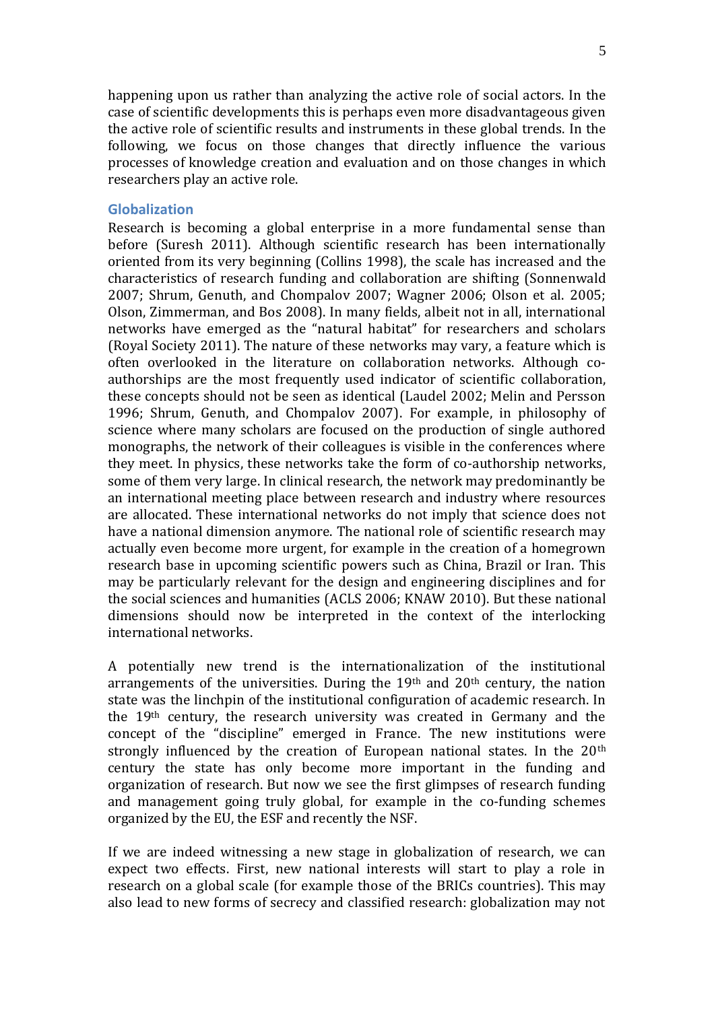happening upon us rather than analyzing the active role of social actors. In the case of scientific developments this is perhaps even more disadvantageous given the active role of scientific results and instruments in these global trends. In the following, we focus on those changes that directly influence the various processes of knowledge creation and evaluation and on those changes in which researchers play an active role.

#### **Globalization**

Research is becoming a global enterprise in a more fundamental sense than before (Suresh 2011). Although scientific research has been internationally oriented from its very beginning (Collins 1998), the scale has increased and the characteristics of research funding and collaboration are shifting (Sonnenwald 2007; Shrum, Genuth, and Chompalov 2007; Wagner 2006; Olson et al. 2005; Olson, Zimmerman, and Bos 2008). In many fields, albeit not in all, international networks have emerged as the "natural habitat" for researchers and scholars (Royal Society 2011). The nature of these networks may vary, a feature which is often overlooked in the literature on collaboration networks. Although coauthorships are the most frequently used indicator of scientific collaboration, these concepts should not be seen as identical (Laudel 2002; Melin and Persson 1996; Shrum, Genuth, and Chompalov 2007). For example, in philosophy of science where many scholars are focused on the production of single authored monographs, the network of their colleagues is visible in the conferences where they meet. In physics, these networks take the form of co-authorship networks, some of them very large. In clinical research, the network may predominantly be an international meeting place between research and industry where resources are allocated. These international networks do not imply that science does not have a national dimension anymore. The national role of scientific research may actually even become more urgent, for example in the creation of a homegrown research base in upcoming scientific powers such as China, Brazil or Iran. This may be particularly relevant for the design and engineering disciplines and for the social sciences and humanities (ACLS 2006; KNAW 2010). But these national dimensions should now be interpreted in the context of the interlocking international networks.

A potentially new trend is the internationalization of the institutional arrangements of the universities. During the  $19<sup>th</sup>$  and  $20<sup>th</sup>$  century, the nation state was the linchpin of the institutional configuration of academic research. In the 19th century, the research university was created in Germany and the concept of the "discipline" emerged in France. The new institutions were strongly influenced by the creation of European national states. In the 20<sup>th</sup> century the state has only become more important in the funding and organization of research. But now we see the first glimpses of research funding and management going truly global, for example in the co-funding schemes organized by the EU, the ESF and recently the NSF.

If we are indeed witnessing a new stage in globalization of research, we can expect two effects. First, new national interests will start to play a role in research on a global scale (for example those of the BRICs countries). This may also lead to new forms of secrecy and classified research: globalization may not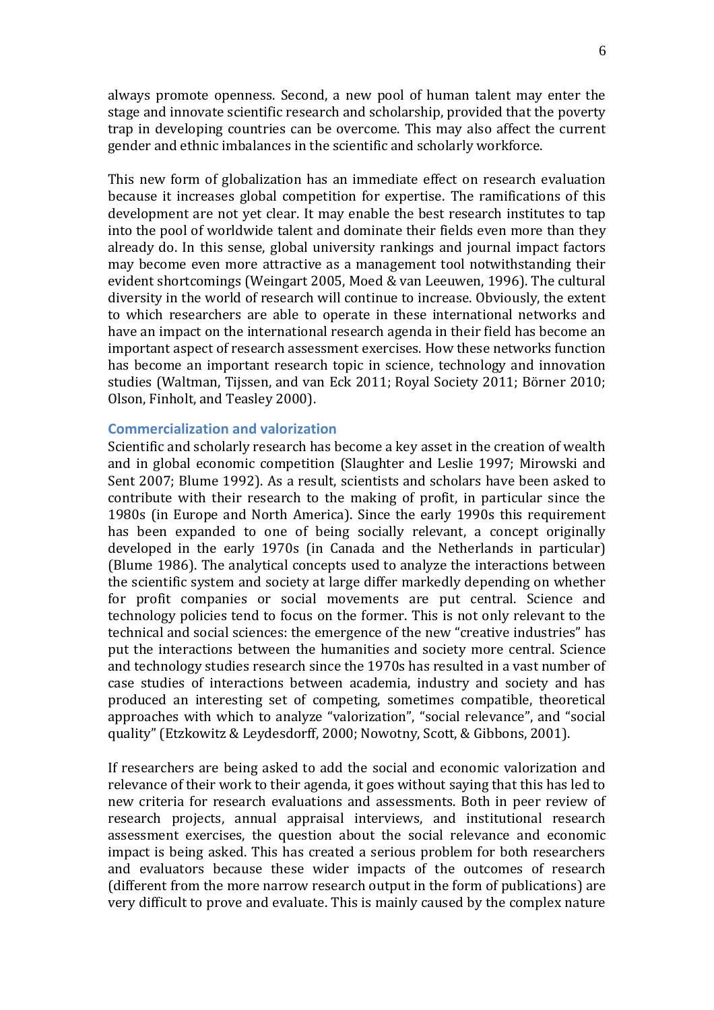always promote openness. Second, a new pool of human talent may enter the stage and innovate scientific research and scholarship, provided that the poverty trap in developing countries can be overcome. This may also affect the current gender and ethnic imbalances in the scientific and scholarly workforce.

This new form of globalization has an immediate effect on research evaluation because it increases global competition for expertise. The ramifications of this development are not yet clear. It may enable the best research institutes to tap into the pool of worldwide talent and dominate their fields even more than they already do. In this sense, global university rankings and journal impact factors may become even more attractive as a management tool notwithstanding their evident shortcomings (Weingart 2005, Moed & van Leeuwen, 1996). The cultural diversity in the world of research will continue to increase. Obviously, the extent to which researchers are able to operate in these international networks and have an impact on the international research agenda in their field has become an important aspect of research assessment exercises. How these networks function has become an important research topic in science, technology and innovation studies (Waltman, Tijssen, and van Eck 2011; Royal Society 2011; Börner 2010; Olson, Finholt, and Teasley 2000).

## **Commercialization and valorization**

Scientific and scholarly research has become a key asset in the creation of wealth and in global economic competition (Slaughter and Leslie 1997; Mirowski and Sent 2007; Blume 1992). As a result, scientists and scholars have been asked to contribute with their research to the making of profit, in particular since the 1980s (in Europe and North America). Since the early 1990s this requirement has been expanded to one of being socially relevant, a concept originally developed in the early 1970s (in Canada and the Netherlands in particular) (Blume 1986). The analytical concepts used to analyze the interactions between the scientific system and society at large differ markedly depending on whether for profit companies or social movements are put central. Science and technology policies tend to focus on the former. This is not only relevant to the technical and social sciences: the emergence of the new "creative industries" has put the interactions between the humanities and society more central. Science and technology studies research since the 1970s has resulted in a vast number of case studies of interactions between academia, industry and society and has produced an interesting set of competing, sometimes compatible, theoretical approaches with which to analyze "valorization", "social relevance", and "social quality" (Etzkowitz & Leydesdorff, 2000; Nowotny, Scott, & Gibbons, 2001).

If researchers are being asked to add the social and economic valorization and relevance of their work to their agenda, it goes without saying that this has led to new criteria for research evaluations and assessments. Both in peer review of research projects, annual appraisal interviews, and institutional research assessment exercises, the question about the social relevance and economic impact is being asked. This has created a serious problem for both researchers and evaluators because these wider impacts of the outcomes of research (different from the more narrow research output in the form of publications) are very difficult to prove and evaluate. This is mainly caused by the complex nature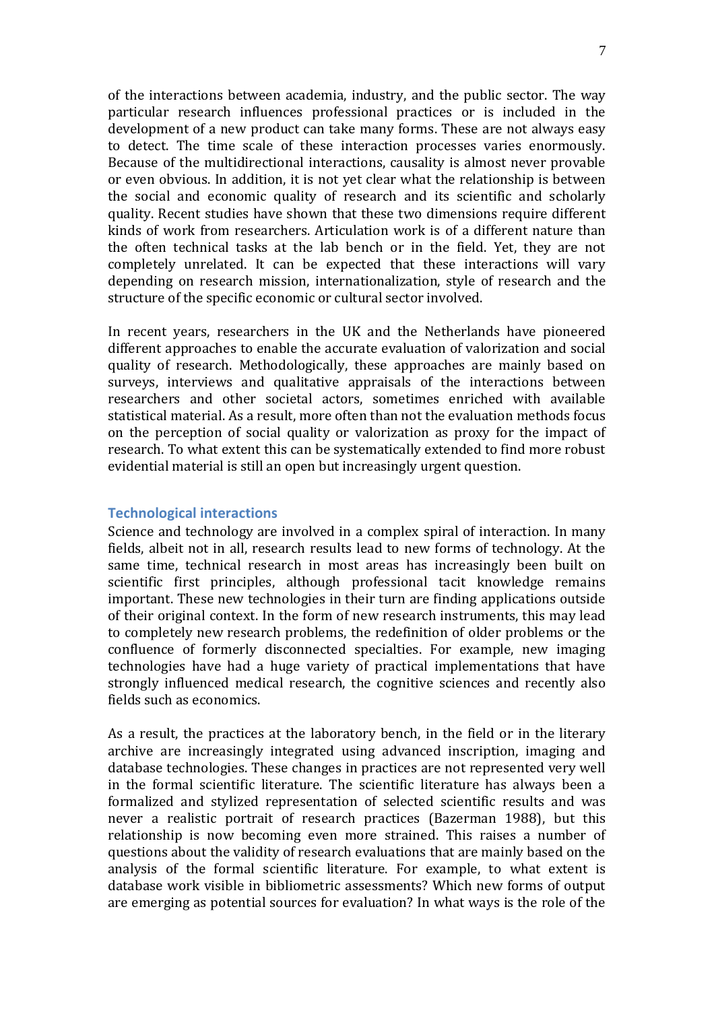of the interactions between academia, industry, and the public sector. The way particular research influences professional practices or is included in the development of a new product can take many forms. These are not always easy to detect. The time scale of these interaction processes varies enormously. Because of the multidirectional interactions, causality is almost never provable or even obvious. In addition, it is not yet clear what the relationship is between the social and economic quality of research and its scientific and scholarly quality. Recent studies have shown that these two dimensions require different kinds of work from researchers. Articulation work is of a different nature than the often technical tasks at the lab bench or in the field. Yet, they are not completely unrelated. It can be expected that these interactions will vary depending on research mission, internationalization, style of research and the structure of the specific economic or cultural sector involved.

In recent years, researchers in the UK and the Netherlands have pioneered different approaches to enable the accurate evaluation of valorization and social quality of research. Methodologically, these approaches are mainly based on surveys, interviews and qualitative appraisals of the interactions between researchers and other societal actors, sometimes enriched with available statistical material. As a result, more often than not the evaluation methods focus on the perception of social quality or valorization as proxy for the impact of research. To what extent this can be systematically extended to find more robust evidential material is still an open but increasingly urgent question.

#### **Technological interactions**

Science and technology are involved in a complex spiral of interaction. In many fields, albeit not in all, research results lead to new forms of technology. At the same time, technical research in most areas has increasingly been built on scientific first principles, although professional tacit knowledge remains important. These new technologies in their turn are finding applications outside of their original context. In the form of new research instruments, this may lead to completely new research problems, the redefinition of older problems or the confluence of formerly disconnected specialties. For example, new imaging technologies have had a huge variety of practical implementations that have strongly influenced medical research, the cognitive sciences and recently also fields such as economics.

As a result, the practices at the laboratory bench, in the field or in the literary archive are increasingly integrated using advanced inscription, imaging and database technologies. These changes in practices are not represented very well in the formal scientific literature. The scientific literature has always been a formalized and stylized representation of selected scientific results and was never a realistic portrait of research practices (Bazerman 1988), but this relationship is now becoming even more strained. This raises a number of questions about the validity of research evaluations that are mainly based on the analysis of the formal scientific literature. For example, to what extent is database work visible in bibliometric assessments? Which new forms of output are emerging as potential sources for evaluation? In what ways is the role of the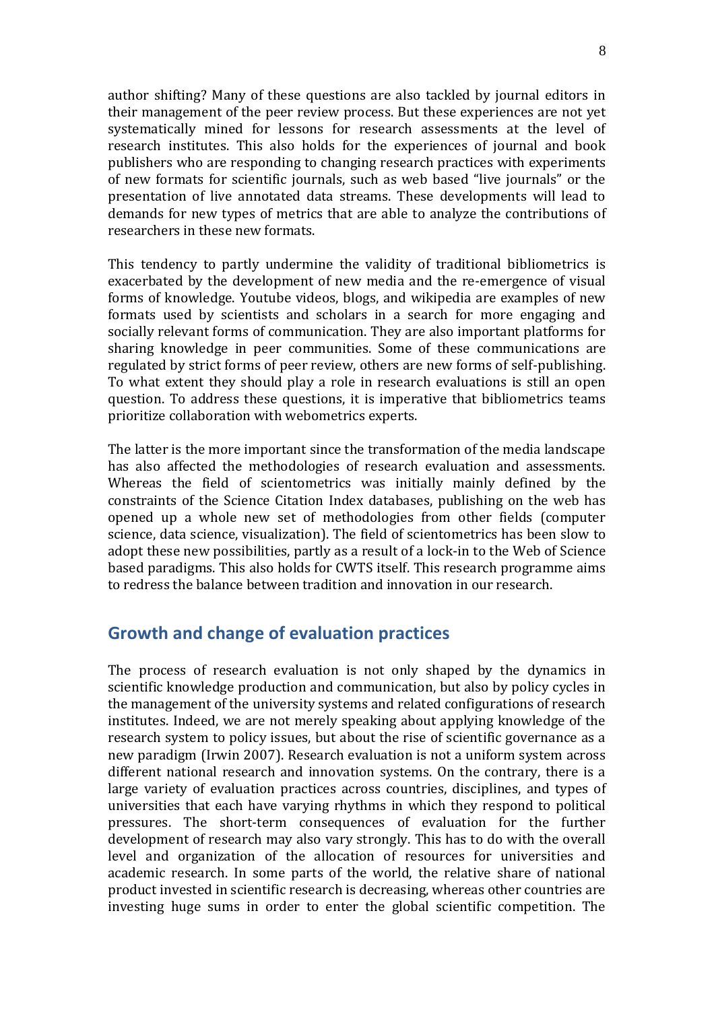author shifting? Many of these questions are also tackled by journal editors in their management of the peer review process. But these experiences are not yet systematically mined for lessons for research assessments at the level of research institutes. This also holds for the experiences of journal and book publishers who are responding to changing research practices with experiments of new formats for scientific journals, such as web based "live journals" or the presentation of live annotated data streams. These developments will lead to demands for new types of metrics that are able to analyze the contributions of researchers in these new formats.

This tendency to partly undermine the validity of traditional bibliometrics is exacerbated by the development of new media and the re-emergence of visual forms of knowledge. Youtube videos, blogs, and wikipedia are examples of new formats used by scientists and scholars in a search for more engaging and socially relevant forms of communication. They are also important platforms for sharing knowledge in peer communities. Some of these communications are regulated by strict forms of peer review, others are new forms of self-publishing. To what extent they should play a role in research evaluations is still an open question. To address these questions, it is imperative that bibliometrics teams prioritize collaboration with webometrics experts.

The latter is the more important since the transformation of the media landscape has also affected the methodologies of research evaluation and assessments. Whereas the field of scientometrics was initially mainly defined by the constraints of the Science Citation Index databases, publishing on the web has opened up a whole new set of methodologies from other fields (computer science, data science, visualization). The field of scientometrics has been slow to adopt these new possibilities, partly as a result of a lock-in to the Web of Science based paradigms. This also holds for CWTS itself. This research programme aims to redress the balance between tradition and innovation in our research.

# **Growth and change of evaluation practices**

The process of research evaluation is not only shaped by the dynamics in scientific knowledge production and communication, but also by policy cycles in the management of the university systems and related configurations of research institutes. Indeed, we are not merely speaking about applying knowledge of the research system to policy issues, but about the rise of scientific governance as a new paradigm (Irwin 2007). Research evaluation is not a uniform system across different national research and innovation systems. On the contrary, there is a large variety of evaluation practices across countries, disciplines, and types of universities that each have varying rhythms in which they respond to political pressures. The short-term consequences of evaluation for the further development of research may also vary strongly. This has to do with the overall level and organization of the allocation of resources for universities and academic research. In some parts of the world, the relative share of national product invested in scientific research is decreasing, whereas other countries are investing huge sums in order to enter the global scientific competition. The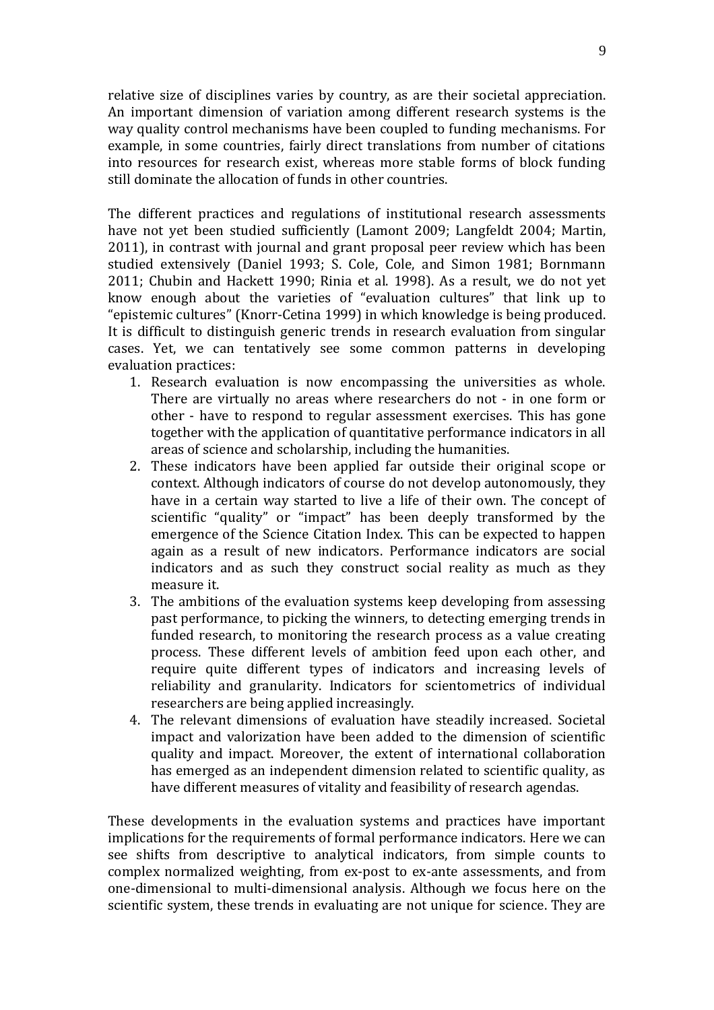relative size of disciplines varies by country, as are their societal appreciation. An important dimension of variation among different research systems is the way quality control mechanisms have been coupled to funding mechanisms. For example, in some countries, fairly direct translations from number of citations into resources for research exist, whereas more stable forms of block funding still dominate the allocation of funds in other countries.

The different practices and regulations of institutional research assessments have not yet been studied sufficiently (Lamont 2009; Langfeldt 2004; Martin, 2011), in contrast with journal and grant proposal peer review which has been studied extensively (Daniel 1993; S. Cole, Cole, and Simon 1981; Bornmann 2011; Chubin and Hackett 1990; Rinia et al. 1998). As a result, we do not yet know enough about the varieties of "evaluation cultures" that link up to "epistemic cultures" (Knorr-Cetina 1999) in which knowledge is being produced. It is difficult to distinguish generic trends in research evaluation from singular cases. Yet, we can tentatively see some common patterns in developing evaluation practices:

- 1. Research evaluation is now encompassing the universities as whole. There are virtually no areas where researchers do not - in one form or other - have to respond to regular assessment exercises. This has gone together with the application of quantitative performance indicators in all areas of science and scholarship, including the humanities.
- 2. These indicators have been applied far outside their original scope or context. Although indicators of course do not develop autonomously, they have in a certain way started to live a life of their own. The concept of scientific "quality" or "impact" has been deeply transformed by the emergence of the Science Citation Index. This can be expected to happen again as a result of new indicators. Performance indicators are social indicators and as such they construct social reality as much as they measure it.
- 3. The ambitions of the evaluation systems keep developing from assessing past performance, to picking the winners, to detecting emerging trends in funded research, to monitoring the research process as a value creating process. These different levels of ambition feed upon each other, and require quite different types of indicators and increasing levels of reliability and granularity. Indicators for scientometrics of individual researchers are being applied increasingly.
- 4. The relevant dimensions of evaluation have steadily increased. Societal impact and valorization have been added to the dimension of scientific quality and impact. Moreover, the extent of international collaboration has emerged as an independent dimension related to scientific quality, as have different measures of vitality and feasibility of research agendas.

These developments in the evaluation systems and practices have important implications for the requirements of formal performance indicators. Here we can see shifts from descriptive to analytical indicators, from simple counts to complex normalized weighting, from ex-post to ex-ante assessments, and from one-dimensional to multi-dimensional analysis. Although we focus here on the scientific system, these trends in evaluating are not unique for science. They are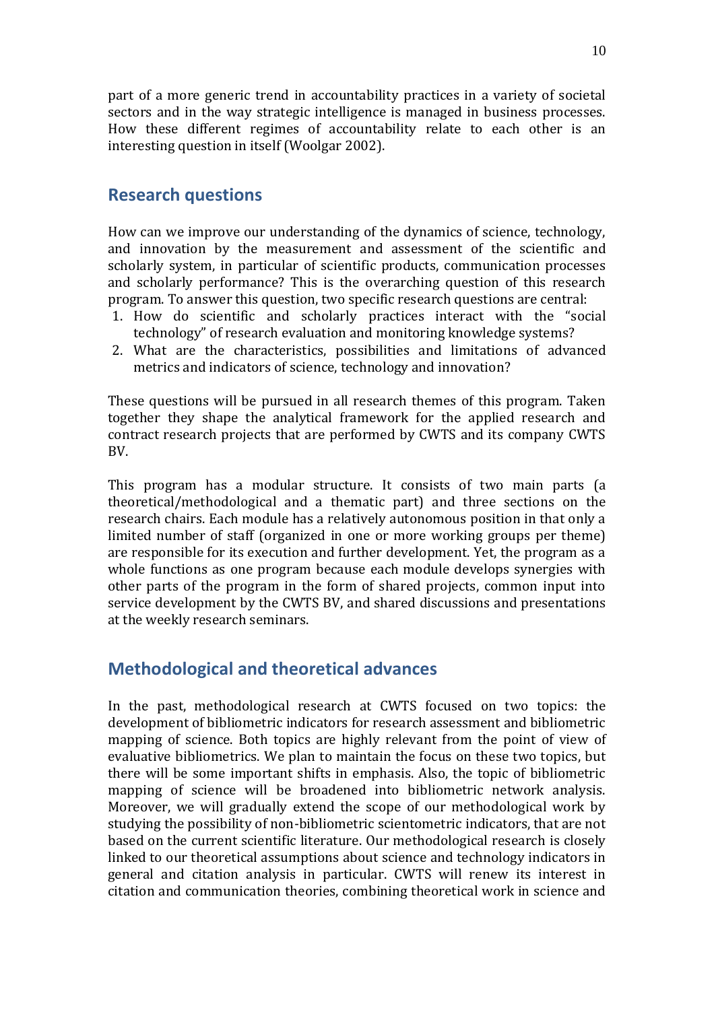part of a more generic trend in accountability practices in a variety of societal sectors and in the way strategic intelligence is managed in business processes. How these different regimes of accountability relate to each other is an interesting question in itself (Woolgar 2002).

# **Research questions**

How can we improve our understanding of the dynamics of science, technology, and innovation by the measurement and assessment of the scientific and scholarly system, in particular of scientific products, communication processes and scholarly performance? This is the overarching question of this research program. To answer this question, two specific research questions are central:

- 1. How do scientific and scholarly practices interact with the "social technology" of research evaluation and monitoring knowledge systems?
- 2. What are the characteristics, possibilities and limitations of advanced metrics and indicators of science, technology and innovation?

These questions will be pursued in all research themes of this program. Taken together they shape the analytical framework for the applied research and contract research projects that are performed by CWTS and its company CWTS BV.

This program has a modular structure. It consists of two main parts (a theoretical/methodological and a thematic part) and three sections on the research chairs. Each module has a relatively autonomous position in that only a limited number of staff (organized in one or more working groups per theme) are responsible for its execution and further development. Yet, the program as a whole functions as one program because each module develops synergies with other parts of the program in the form of shared projects, common input into service development by the CWTS BV, and shared discussions and presentations at the weekly research seminars.

# **Methodological and theoretical advances**

In the past, methodological research at CWTS focused on two topics: the development of bibliometric indicators for research assessment and bibliometric mapping of science. Both topics are highly relevant from the point of view of evaluative bibliometrics. We plan to maintain the focus on these two topics, but there will be some important shifts in emphasis. Also, the topic of bibliometric mapping of science will be broadened into bibliometric network analysis. Moreover, we will gradually extend the scope of our methodological work by studying the possibility of non-bibliometric scientometric indicators, that are not based on the current scientific literature. Our methodological research is closely linked to our theoretical assumptions about science and technology indicators in general and citation analysis in particular. CWTS will renew its interest in citation and communication theories, combining theoretical work in science and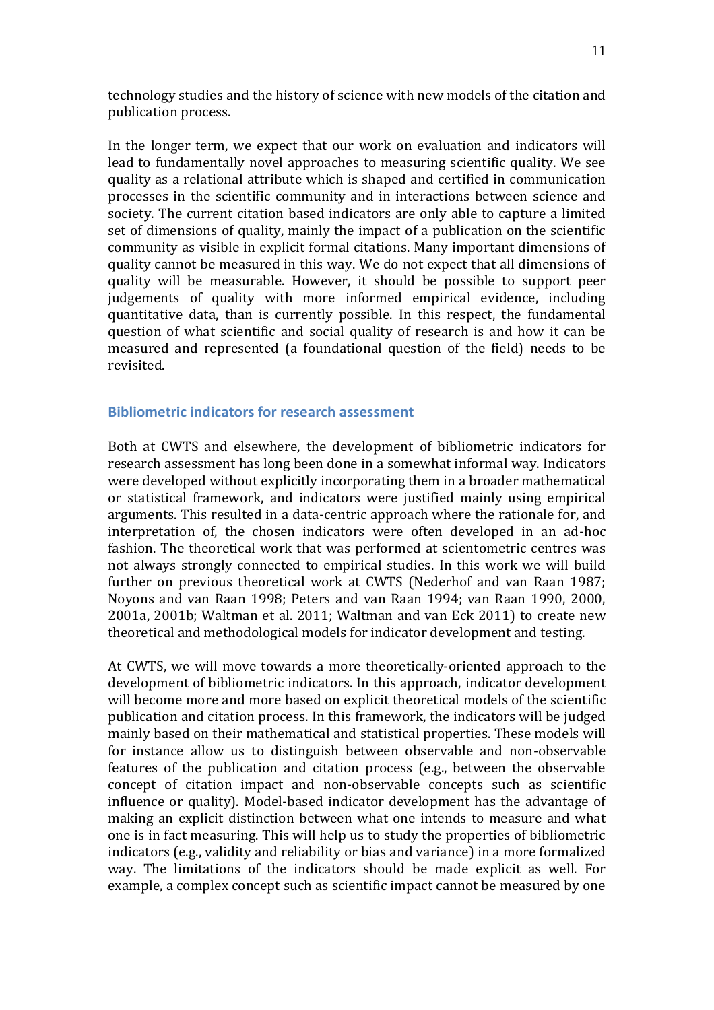technology studies and the history of science with new models of the citation and publication process.

In the longer term, we expect that our work on evaluation and indicators will lead to fundamentally novel approaches to measuring scientific quality. We see quality as a relational attribute which is shaped and certified in communication processes in the scientific community and in interactions between science and society. The current citation based indicators are only able to capture a limited set of dimensions of quality, mainly the impact of a publication on the scientific community as visible in explicit formal citations. Many important dimensions of quality cannot be measured in this way. We do not expect that all dimensions of quality will be measurable. However, it should be possible to support peer judgements of quality with more informed empirical evidence, including quantitative data, than is currently possible. In this respect, the fundamental question of what scientific and social quality of research is and how it can be measured and represented (a foundational question of the field) needs to be revisited.

#### **Bibliometric indicators for research assessment**

Both at CWTS and elsewhere, the development of bibliometric indicators for research assessment has long been done in a somewhat informal way. Indicators were developed without explicitly incorporating them in a broader mathematical or statistical framework, and indicators were justified mainly using empirical arguments. This resulted in a data-centric approach where the rationale for, and interpretation of, the chosen indicators were often developed in an ad-hoc fashion. The theoretical work that was performed at scientometric centres was not always strongly connected to empirical studies. In this work we will build further on previous theoretical work at CWTS (Nederhof and van Raan 1987; Noyons and van Raan 1998; Peters and van Raan 1994; van Raan 1990, 2000, 2001a, 2001b; Waltman et al. 2011; Waltman and van Eck 2011) to create new theoretical and methodological models for indicator development and testing.

At CWTS, we will move towards a more theoretically-oriented approach to the development of bibliometric indicators. In this approach, indicator development will become more and more based on explicit theoretical models of the scientific publication and citation process. In this framework, the indicators will be judged mainly based on their mathematical and statistical properties. These models will for instance allow us to distinguish between observable and non-observable features of the publication and citation process (e.g., between the observable concept of citation impact and non-observable concepts such as scientific influence or quality). Model-based indicator development has the advantage of making an explicit distinction between what one intends to measure and what one is in fact measuring. This will help us to study the properties of bibliometric indicators (e.g., validity and reliability or bias and variance) in a more formalized way. The limitations of the indicators should be made explicit as well. For example, a complex concept such as scientific impact cannot be measured by one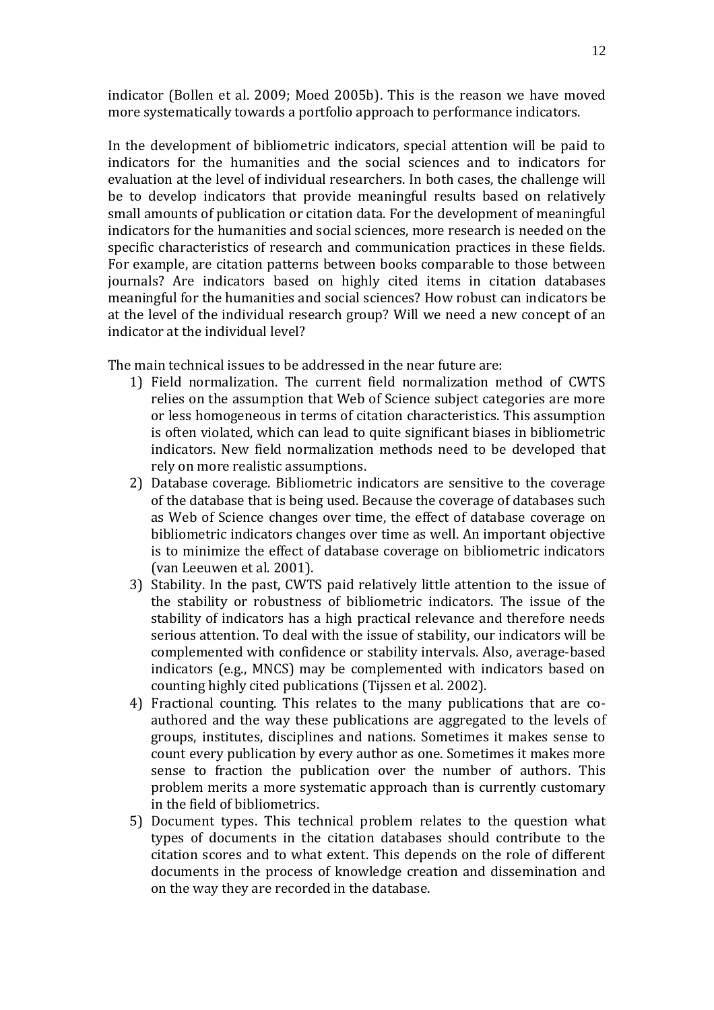indicator (Bollen et al. 2009; Moed 2005b). This is the reason we have moved more systematically towards a portfolio approach to performance indicators.

In the development of bibliometric indicators, special attention will be paid to indicators for the humanities and the social sciences and to indicators for evaluation at the level of individual researchers. In both cases, the challenge will be to develop indicators that provide meaningful results based on relatively small amounts of publication or citation data. For the development of meaningful indicators for the humanities and social sciences, more research is needed on the specific characteristics of research and communication practices in these fields. For example, are citation patterns between books comparable to those between journals? Are indicators based on highly cited items in citation databases meaningful for the humanities and social sciences? How robust can indicators be at the level of the individual research group? Will we need a new concept of an indicator at the individual level?

The main technical issues to be addressed in the near future are:

- 1) Field normalization. The current field normalization method of CWTS relies on the assumption that Web of Science subject categories are more or less homogeneous in terms of citation characteristics. This assumption is often violated, which can lead to quite significant biases in bibliometric indicators. New field normalization methods need to be developed that rely on more realistic assumptions.
- 2) Database coverage. Bibliometric indicators are sensitive to the coverage of the database that is being used. Because the coverage of databases such as Web of Science changes over time, the effect of database coverage on bibliometric indicators changes over time as well. An important objective is to minimize the effect of database coverage on bibliometric indicators (van Leeuwen et al. 2001).
- 3) Stability. In the past, CWTS paid relatively little attention to the issue of the stability or robustness of bibliometric indicators. The issue of the stability of indicators has a high practical relevance and therefore needs serious attention. To deal with the issue of stability, our indicators will be complemented with confidence or stability intervals. Also, average-based indicators (e.g., MNCS) may be complemented with indicators based on counting highly cited publications (Tijssen et al. 2002).
- 4) Fractional counting. This relates to the many publications that are coauthored and the way these publications are aggregated to the levels of groups, institutes, disciplines and nations. Sometimes it makes sense to count every publication by every author as one. Sometimes it makes more sense to fraction the publication over the number of authors. This problem merits a more systematic approach than is currently customary in the field of bibliometrics.
- 5) Document types. This technical problem relates to the question what types of documents in the citation databases should contribute to the citation scores and to what extent. This depends on the role of different documents in the process of knowledge creation and dissemination and on the way they are recorded in the database.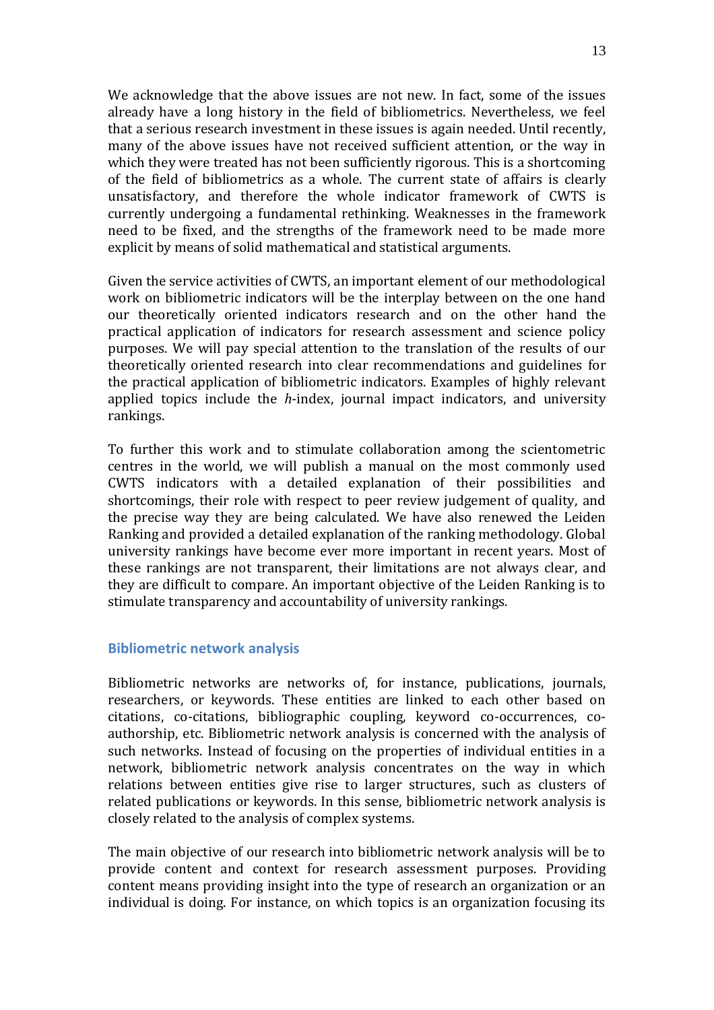We acknowledge that the above issues are not new. In fact, some of the issues already have a long history in the field of bibliometrics. Nevertheless, we feel that a serious research investment in these issues is again needed. Until recently, many of the above issues have not received sufficient attention, or the way in which they were treated has not been sufficiently rigorous. This is a shortcoming of the field of bibliometrics as a whole. The current state of affairs is clearly unsatisfactory, and therefore the whole indicator framework of CWTS is currently undergoing a fundamental rethinking. Weaknesses in the framework need to be fixed, and the strengths of the framework need to be made more explicit by means of solid mathematical and statistical arguments.

Given the service activities of CWTS, an important element of our methodological work on bibliometric indicators will be the interplay between on the one hand our theoretically oriented indicators research and on the other hand the practical application of indicators for research assessment and science policy purposes. We will pay special attention to the translation of the results of our theoretically oriented research into clear recommendations and guidelines for the practical application of bibliometric indicators. Examples of highly relevant applied topics include the *h*-index, journal impact indicators, and university rankings.

To further this work and to stimulate collaboration among the scientometric centres in the world, we will publish a manual on the most commonly used CWTS indicators with a detailed explanation of their possibilities and shortcomings, their role with respect to peer review judgement of quality, and the precise way they are being calculated. We have also renewed the Leiden Ranking and provided a detailed explanation of the ranking methodology. Global university rankings have become ever more important in recent years. Most of these rankings are not transparent, their limitations are not always clear, and they are difficult to compare. An important objective of the Leiden Ranking is to stimulate transparency and accountability of university rankings.

#### **Bibliometric network analysis**

Bibliometric networks are networks of, for instance, publications, journals, researchers, or keywords. These entities are linked to each other based on citations, co-citations, bibliographic coupling, keyword co-occurrences, coauthorship, etc. Bibliometric network analysis is concerned with the analysis of such networks. Instead of focusing on the properties of individual entities in a network, bibliometric network analysis concentrates on the way in which relations between entities give rise to larger structures, such as clusters of related publications or keywords. In this sense, bibliometric network analysis is closely related to the analysis of complex systems.

The main objective of our research into bibliometric network analysis will be to provide content and context for research assessment purposes. Providing content means providing insight into the type of research an organization or an individual is doing. For instance, on which topics is an organization focusing its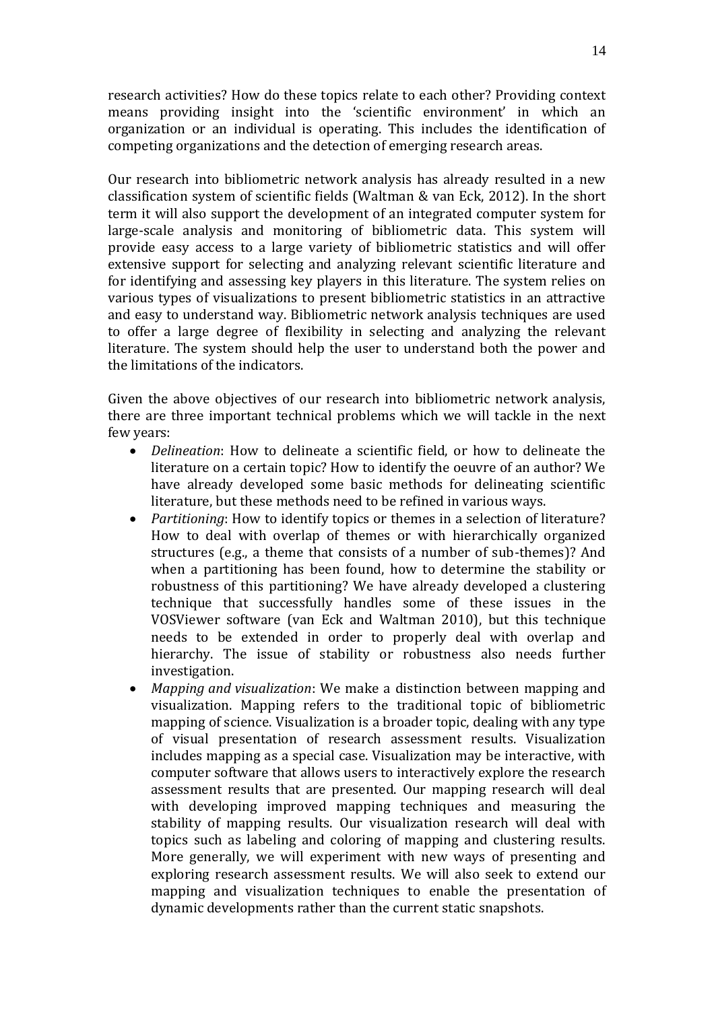research activities? How do these topics relate to each other? Providing context means providing insight into the 'scientific environment' in which an organization or an individual is operating. This includes the identification of competing organizations and the detection of emerging research areas.

Our research into bibliometric network analysis has already resulted in a new classification system of scientific fields (Waltman & van Eck, 2012). In the short term it will also support the development of an integrated computer system for large-scale analysis and monitoring of bibliometric data. This system will provide easy access to a large variety of bibliometric statistics and will offer extensive support for selecting and analyzing relevant scientific literature and for identifying and assessing key players in this literature. The system relies on various types of visualizations to present bibliometric statistics in an attractive and easy to understand way. Bibliometric network analysis techniques are used to offer a large degree of flexibility in selecting and analyzing the relevant literature. The system should help the user to understand both the power and the limitations of the indicators.

Given the above objectives of our research into bibliometric network analysis, there are three important technical problems which we will tackle in the next few years:

- *Delineation*: How to delineate a scientific field, or how to delineate the literature on a certain topic? How to identify the oeuvre of an author? We have already developed some basic methods for delineating scientific literature, but these methods need to be refined in various ways.
- *Partitioning*: How to identify topics or themes in a selection of literature? How to deal with overlap of themes or with hierarchically organized structures (e.g., a theme that consists of a number of sub-themes)? And when a partitioning has been found, how to determine the stability or robustness of this partitioning? We have already developed a clustering technique that successfully handles some of these issues in the VOSViewer software (van Eck and Waltman 2010), but this technique needs to be extended in order to properly deal with overlap and hierarchy. The issue of stability or robustness also needs further investigation.
- *Mapping and visualization*: We make a distinction between mapping and visualization. Mapping refers to the traditional topic of bibliometric mapping of science. Visualization is a broader topic, dealing with any type of visual presentation of research assessment results. Visualization includes mapping as a special case. Visualization may be interactive, with computer software that allows users to interactively explore the research assessment results that are presented. Our mapping research will deal with developing improved mapping techniques and measuring the stability of mapping results. Our visualization research will deal with topics such as labeling and coloring of mapping and clustering results. More generally, we will experiment with new ways of presenting and exploring research assessment results. We will also seek to extend our mapping and visualization techniques to enable the presentation of dynamic developments rather than the current static snapshots.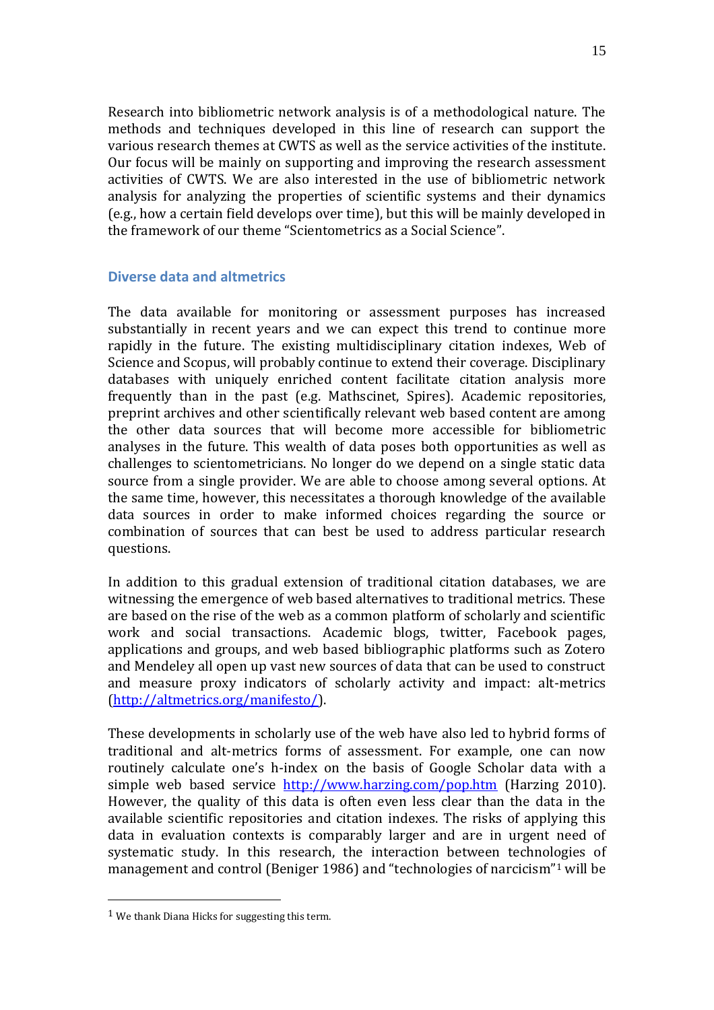Research into bibliometric network analysis is of a methodological nature. The methods and techniques developed in this line of research can support the various research themes at CWTS as well as the service activities of the institute. Our focus will be mainly on supporting and improving the research assessment activities of CWTS. We are also interested in the use of bibliometric network analysis for analyzing the properties of scientific systems and their dynamics (e.g., how a certain field develops over time), but this will be mainly developed in the framework of our theme "Scientometrics as a Social Science".

## **Diverse data and altmetrics**

The data available for monitoring or assessment purposes has increased substantially in recent years and we can expect this trend to continue more rapidly in the future. The existing multidisciplinary citation indexes, Web of Science and Scopus, will probably continue to extend their coverage. Disciplinary databases with uniquely enriched content facilitate citation analysis more frequently than in the past (e.g. Mathscinet, Spires). Academic repositories, preprint archives and other scientifically relevant web based content are among the other data sources that will become more accessible for bibliometric analyses in the future. This wealth of data poses both opportunities as well as challenges to scientometricians. No longer do we depend on a single static data source from a single provider. We are able to choose among several options. At the same time, however, this necessitates a thorough knowledge of the available data sources in order to make informed choices regarding the source or combination of sources that can best be used to address particular research questions.

In addition to this gradual extension of traditional citation databases, we are witnessing the emergence of web based alternatives to traditional metrics. These are based on the rise of the web as a common platform of scholarly and scientific work and social transactions. Academic blogs, twitter, Facebook pages, applications and groups, and web based bibliographic platforms such as Zotero and Mendeley all open up vast new sources of data that can be used to construct and measure proxy indicators of scholarly activity and impact: alt-metrics [\(http://altmetrics.org/manifesto/\)](http://altmetrics.org/manifesto/).

These developments in scholarly use of the web have also led to hybrid forms of traditional and alt-metrics forms of assessment. For example, one can now routinely calculate one's h-index on the basis of Google Scholar data with a simple web based service <http://www.harzing.com/pop.htm> (Harzing 2010). However, the quality of this data is often even less clear than the data in the available scientific repositories and citation indexes. The risks of applying this data in evaluation contexts is comparably larger and are in urgent need of systematic study. In this research, the interaction between technologies of management and control (Beniger 1986) and "technologies of narcicism"<sup>1</sup> will be

 $\overline{a}$ 

 $1$  We thank Diana Hicks for suggesting this term.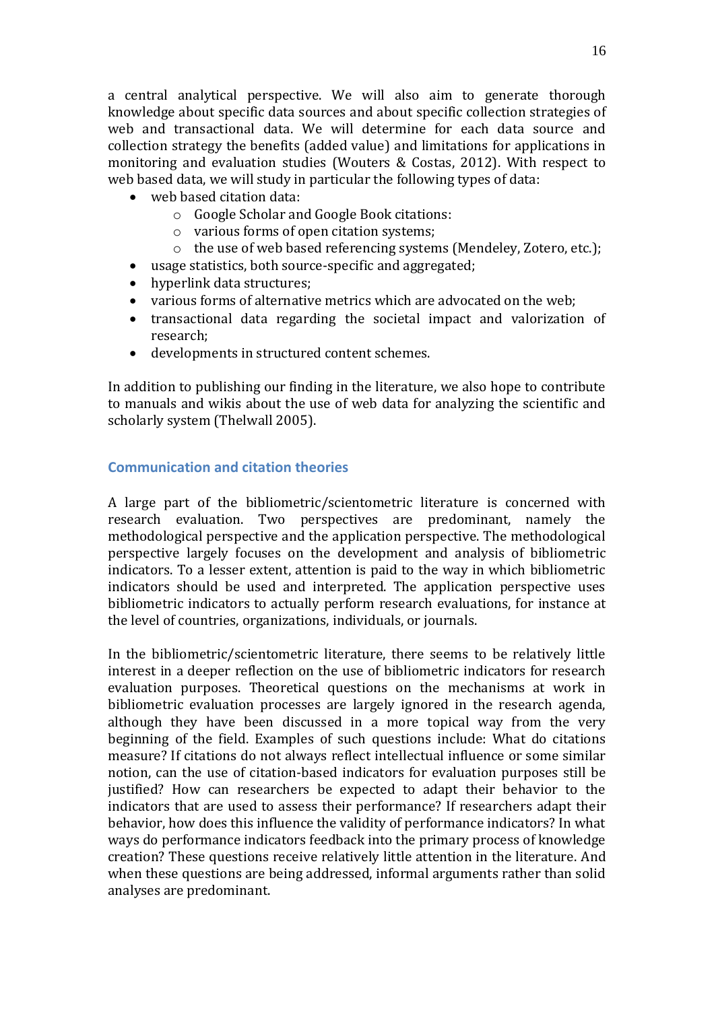a central analytical perspective. We will also aim to generate thorough knowledge about specific data sources and about specific collection strategies of web and transactional data. We will determine for each data source and collection strategy the benefits (added value) and limitations for applications in monitoring and evaluation studies (Wouters & Costas, 2012). With respect to web based data, we will study in particular the following types of data:

- web based citation data:
	- o Google Scholar and Google Book citations:
	- o various forms of open citation systems;
	- o the use of web based referencing systems (Mendeley, Zotero, etc.);
- usage statistics, both source-specific and aggregated;
- hyperlink data structures:
- various forms of alternative metrics which are advocated on the web;
- transactional data regarding the societal impact and valorization of research;
- developments in structured content schemes.

In addition to publishing our finding in the literature, we also hope to contribute to manuals and wikis about the use of web data for analyzing the scientific and scholarly system (Thelwall 2005).

## <span id="page-15-0"></span>**Communication and citation theories**

A large part of the bibliometric/scientometric literature is concerned with research evaluation. Two perspectives are predominant, namely the methodological perspective and the application perspective. The methodological perspective largely focuses on the development and analysis of bibliometric indicators. To a lesser extent, attention is paid to the way in which bibliometric indicators should be used and interpreted. The application perspective uses bibliometric indicators to actually perform research evaluations, for instance at the level of countries, organizations, individuals, or journals.

In the bibliometric/scientometric literature, there seems to be relatively little interest in a deeper reflection on the use of bibliometric indicators for research evaluation purposes. Theoretical questions on the mechanisms at work in bibliometric evaluation processes are largely ignored in the research agenda, although they have been discussed in a more topical way from the very beginning of the field. Examples of such questions include: What do citations measure? If citations do not always reflect intellectual influence or some similar notion, can the use of citation-based indicators for evaluation purposes still be justified? How can researchers be expected to adapt their behavior to the indicators that are used to assess their performance? If researchers adapt their behavior, how does this influence the validity of performance indicators? In what ways do performance indicators feedback into the primary process of knowledge creation? These questions receive relatively little attention in the literature. And when these questions are being addressed, informal arguments rather than solid analyses are predominant.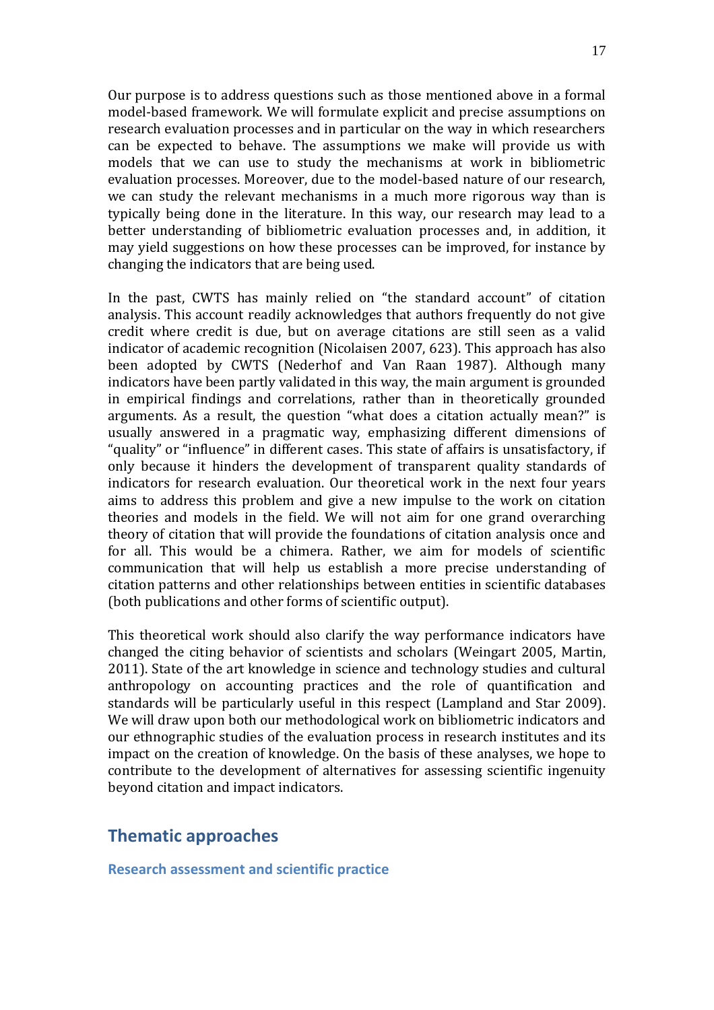Our purpose is to address questions such as those mentioned above in a formal model-based framework. We will formulate explicit and precise assumptions on research evaluation processes and in particular on the way in which researchers can be expected to behave. The assumptions we make will provide us with models that we can use to study the mechanisms at work in bibliometric evaluation processes. Moreover, due to the model-based nature of our research, we can study the relevant mechanisms in a much more rigorous way than is typically being done in the literature. In this way, our research may lead to a better understanding of bibliometric evaluation processes and, in addition, it may yield suggestions on how these processes can be improved, for instance by changing the indicators that are being used.

In the past, CWTS has mainly relied on "the standard account" of citation analysis. This account readily acknowledges that authors frequently do not give credit where credit is due, but on average citations are still seen as a valid indicator of academic recognition (Nicolaisen 2007, 623). This approach has also been adopted by CWTS (Nederhof and Van Raan 1987). Although many indicators have been partly validated in this way, the main argument is grounded in empirical findings and correlations, rather than in theoretically grounded arguments. As a result, the question "what does a citation actually mean?" is usually answered in a pragmatic way, emphasizing different dimensions of "quality" or "influence" in different cases. This state of affairs is unsatisfactory, if only because it hinders the development of transparent quality standards of indicators for research evaluation. Our theoretical work in the next four years aims to address this problem and give a new impulse to the work on citation theories and models in the field. We will not aim for one grand overarching theory of citation that will provide the foundations of citation analysis once and for all. This would be a chimera. Rather, we aim for models of scientific communication that will help us establish a more precise understanding of citation patterns and other relationships between entities in scientific databases (both publications and other forms of scientific output).

This theoretical work should also clarify the way performance indicators have changed the citing behavior of scientists and scholars (Weingart 2005, Martin, 2011). State of the art knowledge in science and technology studies and cultural anthropology on accounting practices and the role of quantification and standards will be particularly useful in this respect (Lampland and Star 2009). We will draw upon both our methodological work on bibliometric indicators and our ethnographic studies of the evaluation process in research institutes and its impact on the creation of knowledge. On the basis of these analyses, we hope to contribute to the development of alternatives for assessing scientific ingenuity beyond citation and impact indicators.

# **Thematic approaches**

**Research assessment and scientific practice**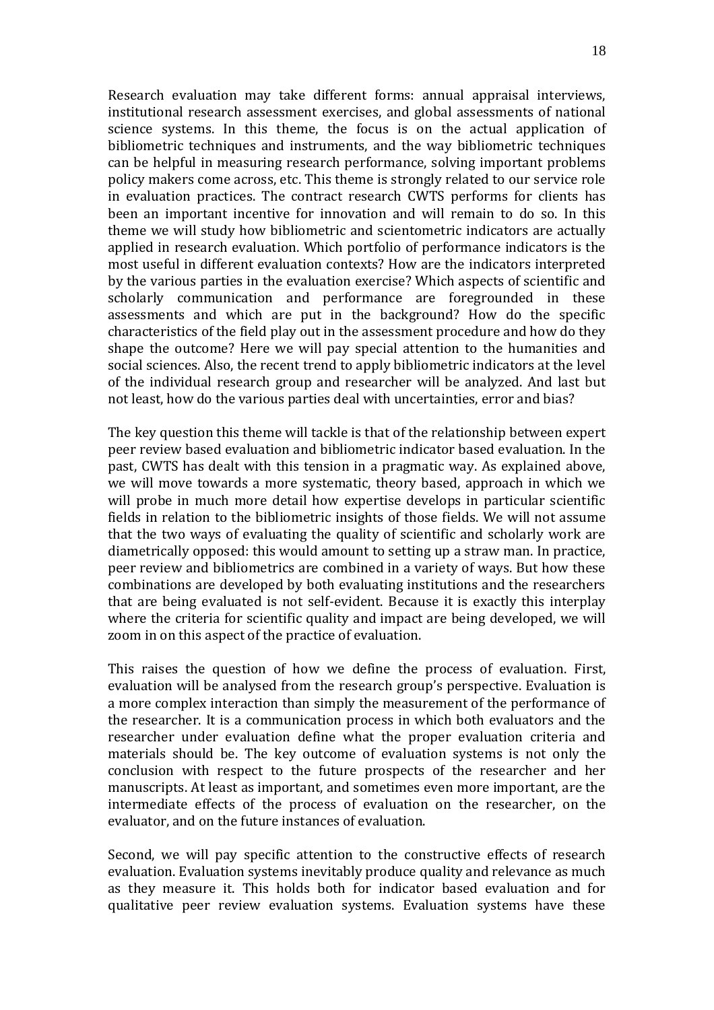Research evaluation may take different forms: annual appraisal interviews, institutional research assessment exercises, and global assessments of national science systems. In this theme, the focus is on the actual application of bibliometric techniques and instruments, and the way bibliometric techniques can be helpful in measuring research performance, solving important problems policy makers come across, etc. This theme is strongly related to our service role in evaluation practices. The contract research CWTS performs for clients has been an important incentive for innovation and will remain to do so. In this theme we will study how bibliometric and scientometric indicators are actually applied in research evaluation. Which portfolio of performance indicators is the most useful in different evaluation contexts? How are the indicators interpreted by the various parties in the evaluation exercise? Which aspects of scientific and scholarly communication and performance are foregrounded in these assessments and which are put in the background? How do the specific characteristics of the field play out in the assessment procedure and how do they shape the outcome? Here we will pay special attention to the humanities and social sciences. Also, the recent trend to apply bibliometric indicators at the level of the individual research group and researcher will be analyzed. And last but not least, how do the various parties deal with uncertainties, error and bias?

The key question this theme will tackle is that of the relationship between expert peer review based evaluation and bibliometric indicator based evaluation. In the past, CWTS has dealt with this tension in a pragmatic way. As explained above, we will move towards a more systematic, theory based, approach in which we will probe in much more detail how expertise develops in particular scientific fields in relation to the bibliometric insights of those fields. We will not assume that the two ways of evaluating the quality of scientific and scholarly work are diametrically opposed: this would amount to setting up a straw man. In practice, peer review and bibliometrics are combined in a variety of ways. But how these combinations are developed by both evaluating institutions and the researchers that are being evaluated is not self-evident. Because it is exactly this interplay where the criteria for scientific quality and impact are being developed, we will zoom in on this aspect of the practice of evaluation.

This raises the question of how we define the process of evaluation. First, evaluation will be analysed from the research group's perspective. Evaluation is a more complex interaction than simply the measurement of the performance of the researcher. It is a communication process in which both evaluators and the researcher under evaluation define what the proper evaluation criteria and materials should be. The key outcome of evaluation systems is not only the conclusion with respect to the future prospects of the researcher and her manuscripts. At least as important, and sometimes even more important, are the intermediate effects of the process of evaluation on the researcher, on the evaluator, and on the future instances of evaluation.

Second, we will pay specific attention to the constructive effects of research evaluation. Evaluation systems inevitably produce quality and relevance as much as they measure it. This holds both for indicator based evaluation and for qualitative peer review evaluation systems. Evaluation systems have these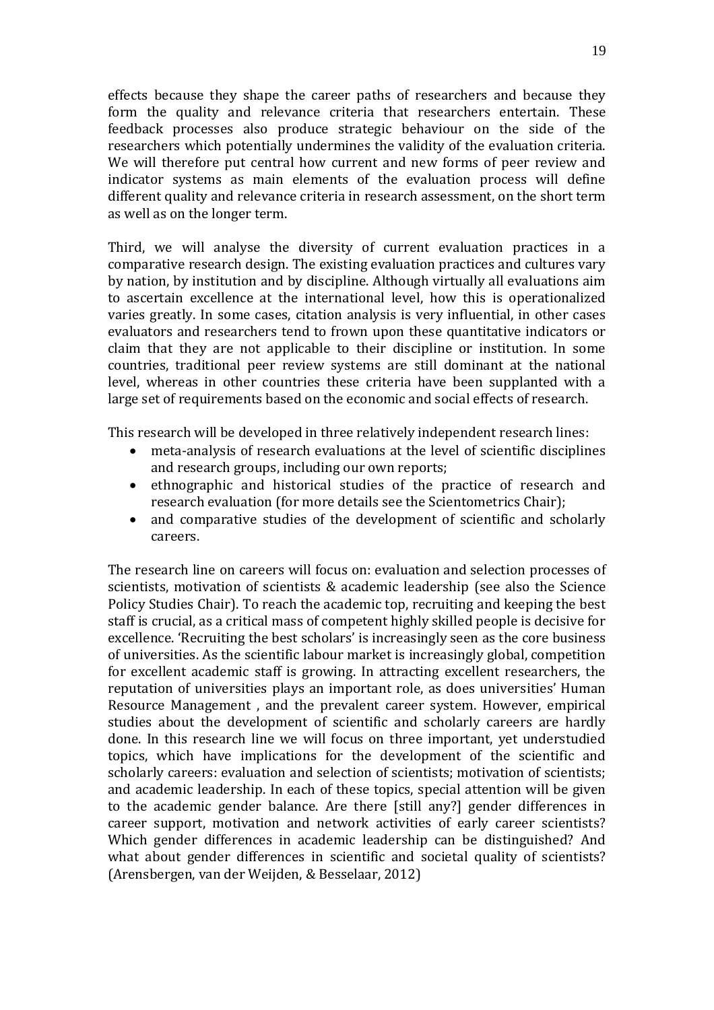effects because they shape the career paths of researchers and because they form the quality and relevance criteria that researchers entertain. These feedback processes also produce strategic behaviour on the side of the researchers which potentially undermines the validity of the evaluation criteria. We will therefore put central how current and new forms of peer review and indicator systems as main elements of the evaluation process will define different quality and relevance criteria in research assessment, on the short term as well as on the longer term.

Third, we will analyse the diversity of current evaluation practices in a comparative research design. The existing evaluation practices and cultures vary by nation, by institution and by discipline. Although virtually all evaluations aim to ascertain excellence at the international level, how this is operationalized varies greatly. In some cases, citation analysis is very influential, in other cases evaluators and researchers tend to frown upon these quantitative indicators or claim that they are not applicable to their discipline or institution. In some countries, traditional peer review systems are still dominant at the national level, whereas in other countries these criteria have been supplanted with a large set of requirements based on the economic and social effects of research.

This research will be developed in three relatively independent research lines:

- meta-analysis of research evaluations at the level of scientific disciplines and research groups, including our own reports;
- ethnographic and historical studies of the practice of research and research evaluation (for more details see the Scientometrics Chair);
- and comparative studies of the development of scientific and scholarly careers.

The research line on careers will focus on: evaluation and selection processes of scientists, motivation of scientists & academic leadership (see also the Science Policy Studies Chair). To reach the academic top, recruiting and keeping the best staff is crucial, as a critical mass of competent highly skilled people is decisive for excellence. 'Recruiting the best scholars' is increasingly seen as the core business of universities. As the scientific labour market is increasingly global, competition for excellent academic staff is growing. In attracting excellent researchers, the reputation of universities plays an important role, as does universities' Human Resource Management , and the prevalent career system. However, empirical studies about the development of scientific and scholarly careers are hardly done. In this research line we will focus on three important, yet understudied topics, which have implications for the development of the scientific and scholarly careers: evaluation and selection of scientists; motivation of scientists; and academic leadership. In each of these topics, special attention will be given to the academic gender balance. Are there [still any?] gender differences in career support, motivation and network activities of early career scientists? Which gender differences in academic leadership can be distinguished? And what about gender differences in scientific and societal quality of scientists? (Arensbergen, van der Weijden, & Besselaar, 2012)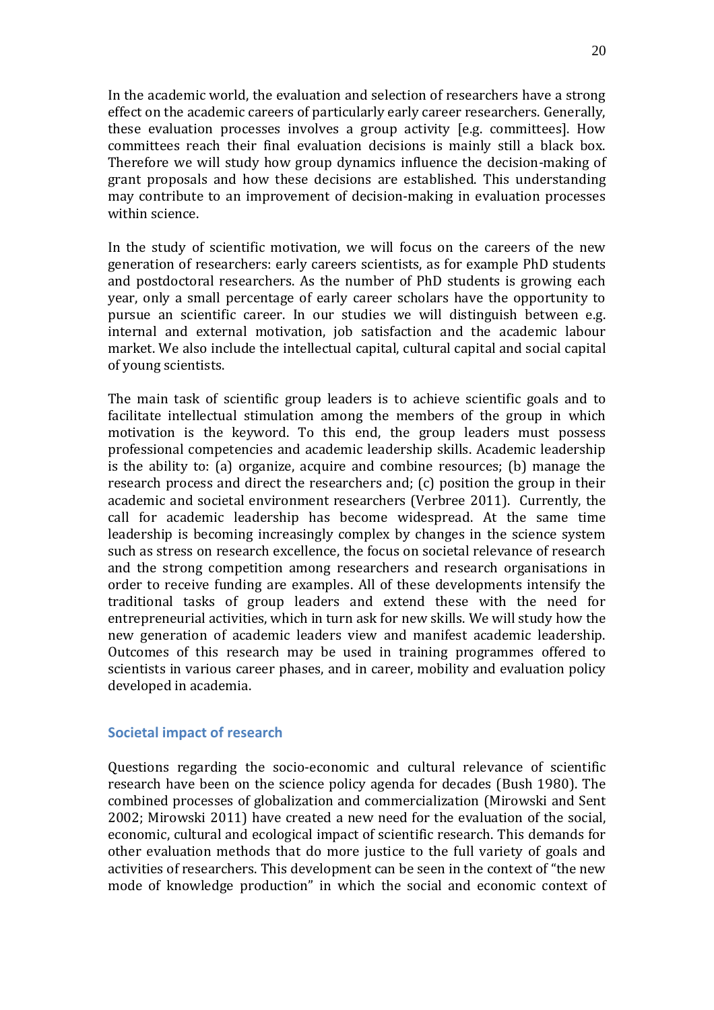In the academic world, the evaluation and selection of researchers have a strong effect on the academic careers of particularly early career researchers. Generally, these evaluation processes involves a group activity [e.g. committees]. How committees reach their final evaluation decisions is mainly still a black box. Therefore we will study how group dynamics influence the decision-making of grant proposals and how these decisions are established. This understanding may contribute to an improvement of decision-making in evaluation processes within science.

In the study of scientific motivation, we will focus on the careers of the new generation of researchers: early careers scientists, as for example PhD students and postdoctoral researchers. As the number of PhD students is growing each year, only a small percentage of early career scholars have the opportunity to pursue an scientific career. In our studies we will distinguish between e.g. internal and external motivation, job satisfaction and the academic labour market. We also include the intellectual capital, cultural capital and social capital of young scientists.

The main task of scientific group leaders is to achieve scientific goals and to facilitate intellectual stimulation among the members of the group in which motivation is the keyword. To this end, the group leaders must possess professional competencies and academic leadership skills. Academic leadership is the ability to: (a) organize, acquire and combine resources; (b) manage the research process and direct the researchers and; (c) position the group in their academic and societal environment researchers (Verbree 2011). Currently, the call for academic leadership has become widespread. At the same time leadership is becoming increasingly complex by changes in the science system such as stress on research excellence, the focus on societal relevance of research and the strong competition among researchers and research organisations in order to receive funding are examples. All of these developments intensify the traditional tasks of group leaders and extend these with the need for entrepreneurial activities, which in turn ask for new skills. We will study how the new generation of academic leaders view and manifest academic leadership. Outcomes of this research may be used in training programmes offered to scientists in various career phases, and in career, mobility and evaluation policy developed in academia.

## **Societal impact of research**

Questions regarding the socio-economic and cultural relevance of scientific research have been on the science policy agenda for decades (Bush 1980). The combined processes of globalization and commercialization (Mirowski and Sent 2002; Mirowski 2011) have created a new need for the evaluation of the social, economic, cultural and ecological impact of scientific research. This demands for other evaluation methods that do more justice to the full variety of goals and activities of researchers. This development can be seen in the context of "the new mode of knowledge production" in which the social and economic context of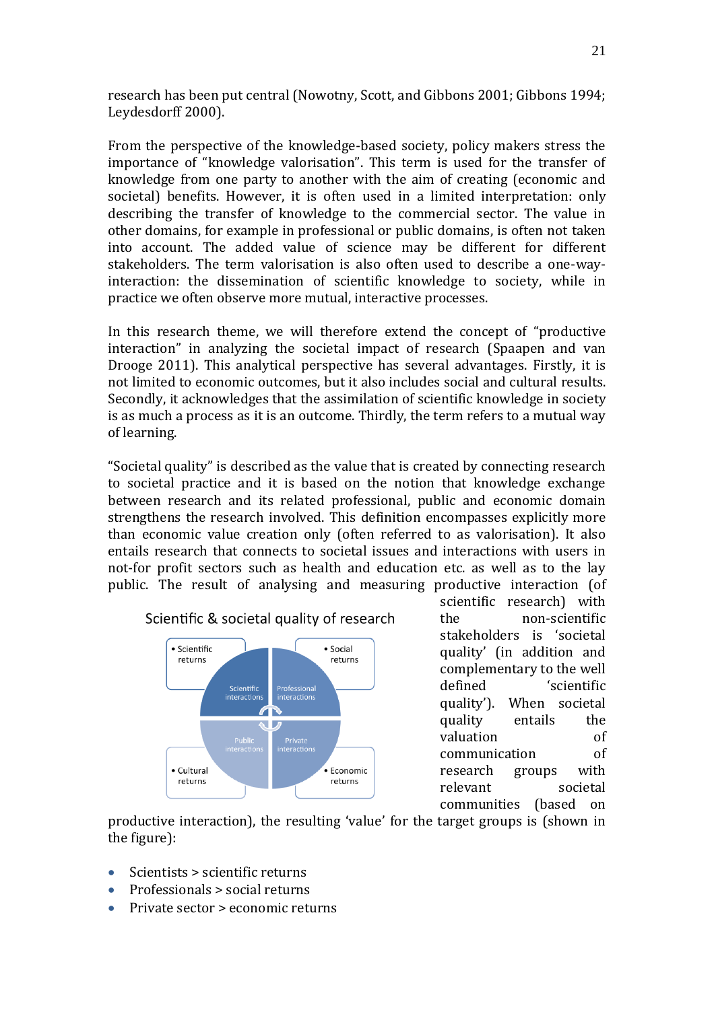research has been put central (Nowotny, Scott, and Gibbons 2001; Gibbons 1994; Leydesdorff 2000).

From the perspective of the knowledge-based society, policy makers stress the importance of "knowledge valorisation". This term is used for the transfer of knowledge from one party to another with the aim of creating (economic and societal) benefits. However, it is often used in a limited interpretation: only describing the transfer of knowledge to the commercial sector. The value in other domains, for example in professional or public domains, is often not taken into account. The added value of science may be different for different stakeholders. The term valorisation is also often used to describe a one-wayinteraction: the dissemination of scientific knowledge to society, while in practice we often observe more mutual, interactive processes.

In this research theme, we will therefore extend the concept of "productive interaction" in analyzing the societal impact of research (Spaapen and van Drooge 2011). This analytical perspective has several advantages. Firstly, it is not limited to economic outcomes, but it also includes social and cultural results. Secondly, it acknowledges that the assimilation of scientific knowledge in society is as much a process as it is an outcome. Thirdly, the term refers to a mutual way of learning.

"Societal quality" is described as the value that is created by connecting research to societal practice and it is based on the notion that knowledge exchange between research and its related professional, public and economic domain strengthens the research involved. This definition encompasses explicitly more than economic value creation only (often referred to as valorisation). It also entails research that connects to societal issues and interactions with users in not-for profit sectors such as health and education etc. as well as to the lay public. The result of analysing and measuring productive interaction (of



scientific research) with the non-scientific stakeholders is 'societal quality' (in addition and complementary to the well defined 'scientific quality'). When societal quality entails the valuation of communication of research groups with relevant societal communities (based on

productive interaction), the resulting 'value' for the target groups is (shown in the figure):

- Scientists > scientific returns
- Professionals > social returns
- Private sector > economic returns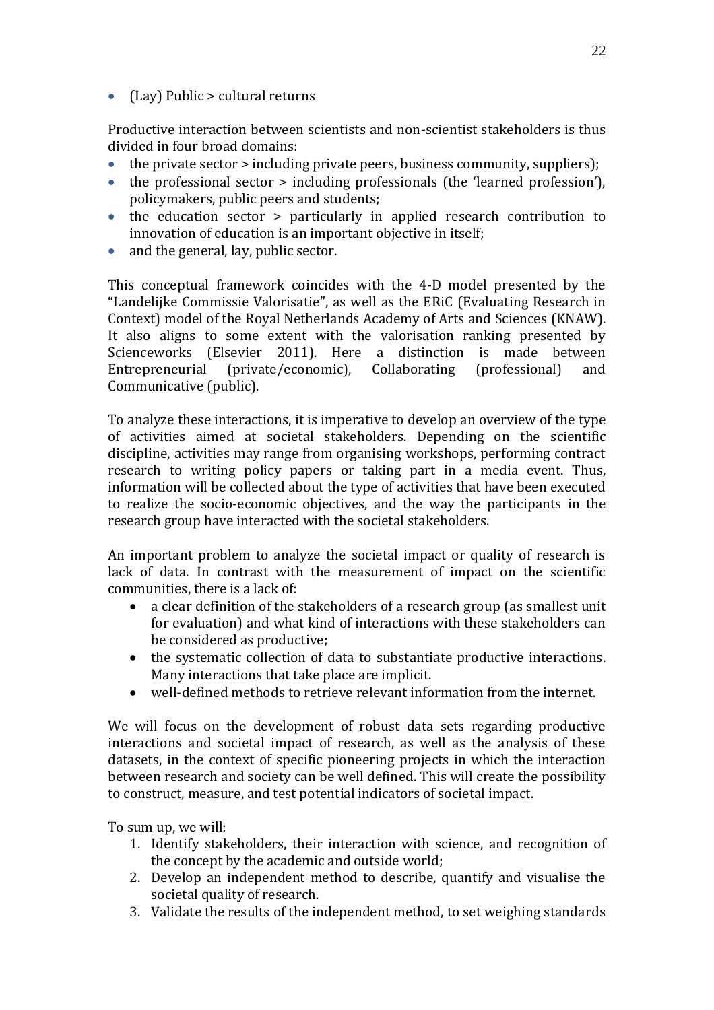$\bullet$  (Lay) Public > cultural returns

Productive interaction between scientists and non-scientist stakeholders is thus divided in four broad domains:

- $\bullet$  the private sector  $>$  including private peers, business community, suppliers);
- the professional sector > including professionals (the 'learned profession'), policymakers, public peers and students;
- the education sector > particularly in applied research contribution to innovation of education is an important objective in itself;
- and the general, lay, public sector.

This conceptual framework coincides with the 4-D model presented by the "Landelijke Commissie Valorisatie", as well as the ERiC (Evaluating Research in Context) model of the Royal Netherlands Academy of Arts and Sciences (KNAW). It also aligns to some extent with the valorisation ranking presented by Scienceworks (Elsevier 2011). Here a distinction is made between Entrepreneurial (private/economic), Collaborating (professional) and Communicative (public).

To analyze these interactions, it is imperative to develop an overview of the type of activities aimed at societal stakeholders. Depending on the scientific discipline, activities may range from organising workshops, performing contract research to writing policy papers or taking part in a media event. Thus, information will be collected about the type of activities that have been executed to realize the socio-economic objectives, and the way the participants in the research group have interacted with the societal stakeholders.

An important problem to analyze the societal impact or quality of research is lack of data. In contrast with the measurement of impact on the scientific communities, there is a lack of:

- a clear definition of the stakeholders of a research group (as smallest unit for evaluation) and what kind of interactions with these stakeholders can be considered as productive;
- the systematic collection of data to substantiate productive interactions. Many interactions that take place are implicit.
- well-defined methods to retrieve relevant information from the internet.

We will focus on the development of robust data sets regarding productive interactions and societal impact of research, as well as the analysis of these datasets, in the context of specific pioneering projects in which the interaction between research and society can be well defined. This will create the possibility to construct, measure, and test potential indicators of societal impact.

To sum up, we will:

- 1. Identify stakeholders, their interaction with science, and recognition of the concept by the academic and outside world;
- 2. Develop an independent method to describe, quantify and visualise the societal quality of research.
- 3. Validate the results of the independent method, to set weighing standards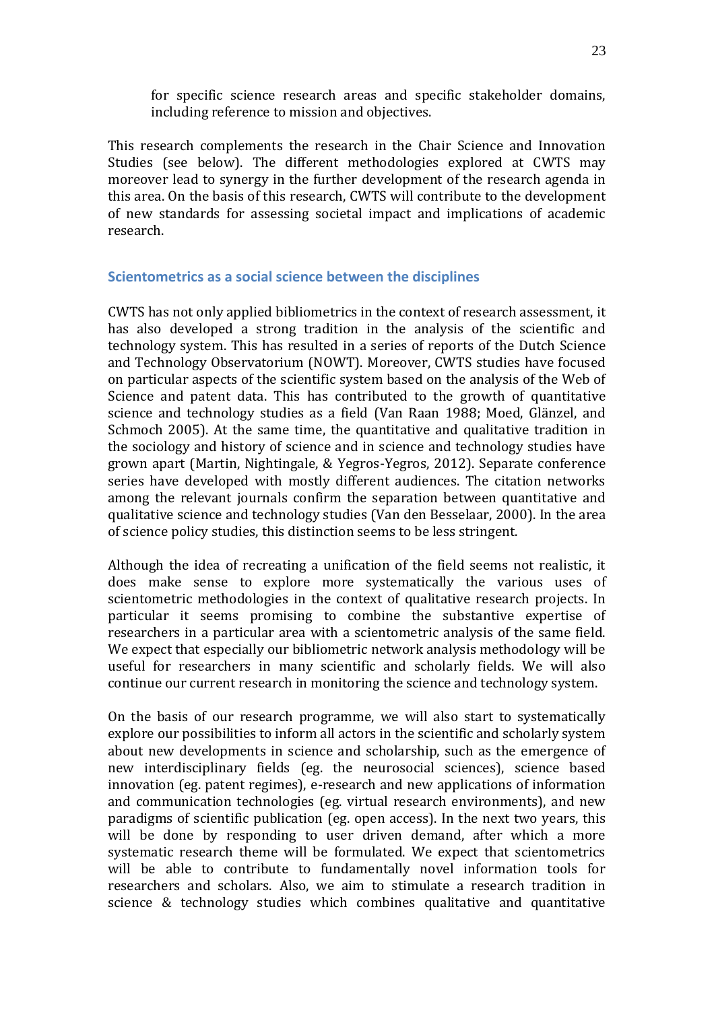for specific science research areas and specific stakeholder domains, including reference to mission and objectives.

This research complements the research in the Chair Science and Innovation Studies (see below). The different methodologies explored at CWTS may moreover lead to synergy in the further development of the research agenda in this area. On the basis of this research, CWTS will contribute to the development of new standards for assessing societal impact and implications of academic research.

## **Scientometrics as a social science between the disciplines**

CWTS has not only applied bibliometrics in the context of research assessment, it has also developed a strong tradition in the analysis of the scientific and technology system. This has resulted in a series of reports of the Dutch Science and Technology Observatorium (NOWT). Moreover, CWTS studies have focused on particular aspects of the scientific system based on the analysis of the Web of Science and patent data. This has contributed to the growth of quantitative science and technology studies as a field (Van Raan 1988; Moed, Glänzel, and Schmoch 2005). At the same time, the quantitative and qualitative tradition in the sociology and history of science and in science and technology studies have grown apart (Martin, Nightingale, & Yegros-Yegros, 2012). Separate conference series have developed with mostly different audiences. The citation networks among the relevant journals confirm the separation between quantitative and qualitative science and technology studies (Van den Besselaar, 2000). In the area of science policy studies, this distinction seems to be less stringent.

Although the idea of recreating a unification of the field seems not realistic, it does make sense to explore more systematically the various uses of scientometric methodologies in the context of qualitative research projects. In particular it seems promising to combine the substantive expertise of researchers in a particular area with a scientometric analysis of the same field. We expect that especially our bibliometric network analysis methodology will be useful for researchers in many scientific and scholarly fields. We will also continue our current research in monitoring the science and technology system.

On the basis of our research programme, we will also start to systematically explore our possibilities to inform all actors in the scientific and scholarly system about new developments in science and scholarship, such as the emergence of new interdisciplinary fields (eg. the neurosocial sciences), science based innovation (eg. patent regimes), e-research and new applications of information and communication technologies (eg. virtual research environments), and new paradigms of scientific publication (eg. open access). In the next two years, this will be done by responding to user driven demand, after which a more systematic research theme will be formulated. We expect that scientometrics will be able to contribute to fundamentally novel information tools for researchers and scholars. Also, we aim to stimulate a research tradition in science & technology studies which combines qualitative and quantitative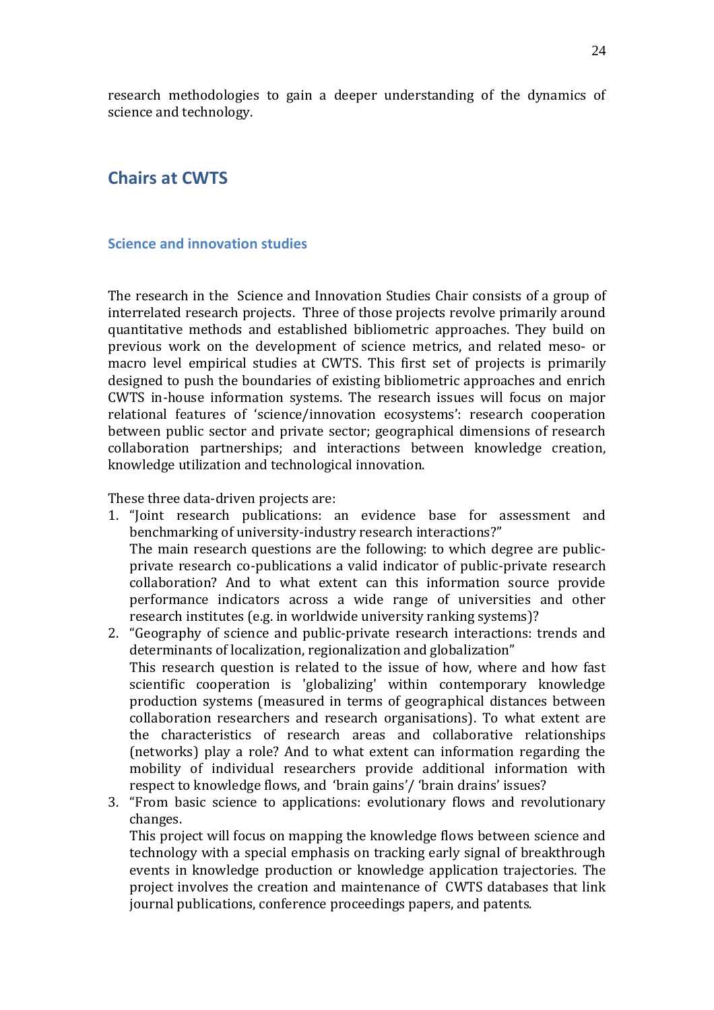research methodologies to gain a deeper understanding of the dynamics of science and technology.

# **Chairs at CWTS**

## **Science and innovation studies**

The research in the Science and Innovation Studies Chair consists of a group of interrelated research projects. Three of those projects revolve primarily around quantitative methods and established bibliometric approaches. They build on previous work on the development of science metrics, and related meso- or macro level empirical studies at CWTS. This first set of projects is primarily designed to push the boundaries of existing bibliometric approaches and enrich CWTS in-house information systems. The research issues will focus on major relational features of 'science/innovation ecosystems': research cooperation between public sector and private sector; geographical dimensions of research collaboration partnerships; and interactions between knowledge creation, knowledge utilization and technological innovation.

These three data-driven projects are:

- 1. "Joint research publications: an evidence base for assessment and benchmarking of university-industry research interactions?" The main research questions are the following: to which degree are publicprivate research co-publications a valid indicator of public-private research collaboration? And to what extent can this information source provide performance indicators across a wide range of universities and other research institutes (e.g. in worldwide university ranking systems)?
- 2. "Geography of science and public-private research interactions: trends and determinants of localization, regionalization and globalization" This research question is related to the issue of how, where and how fast scientific cooperation is 'globalizing' within contemporary knowledge production systems (measured in terms of geographical distances between collaboration researchers and research organisations). To what extent are the characteristics of research areas and collaborative relationships (networks) play a role? And to what extent can information regarding the mobility of individual researchers provide additional information with respect to knowledge flows, and 'brain gains'/ 'brain drains' issues?
- 3. "From basic science to applications: evolutionary flows and revolutionary changes.

This project will focus on mapping the knowledge flows between science and technology with a special emphasis on tracking early signal of breakthrough events in knowledge production or knowledge application trajectories. The project involves the creation and maintenance of CWTS databases that link journal publications, conference proceedings papers, and patents.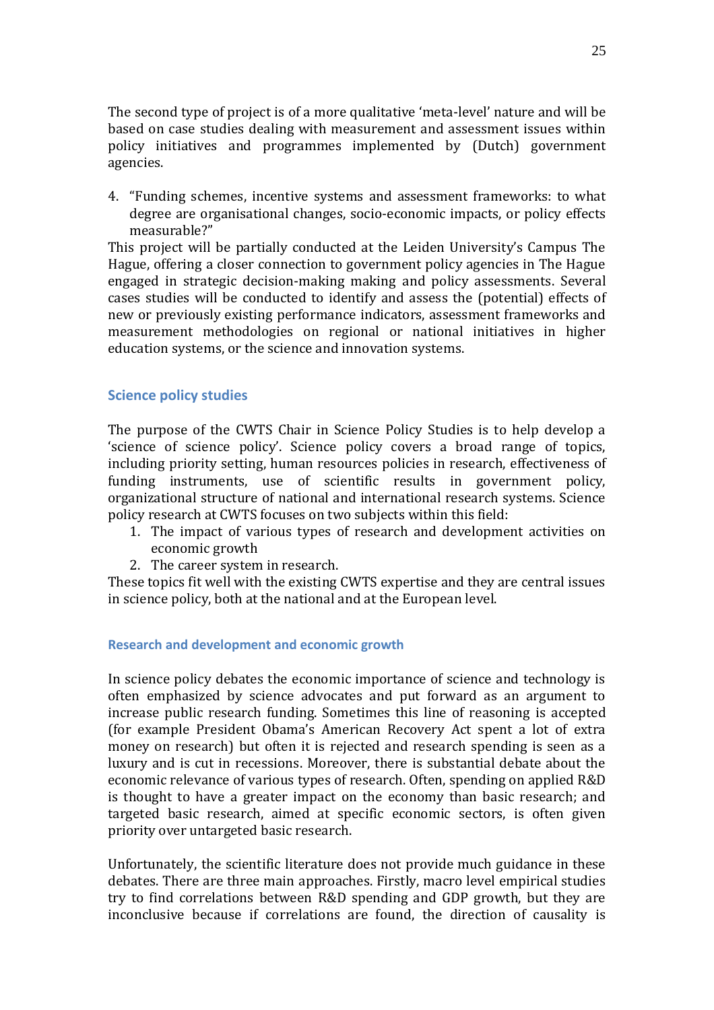The second type of project is of a more qualitative 'meta-level' nature and will be based on case studies dealing with measurement and assessment issues within policy initiatives and programmes implemented by (Dutch) government agencies.

4. "Funding schemes, incentive systems and assessment frameworks: to what degree are organisational changes, socio-economic impacts, or policy effects measurable?"

This project will be partially conducted at the Leiden University's Campus The Hague, offering a closer connection to government policy agencies in The Hague engaged in strategic decision-making making and policy assessments. Several cases studies will be conducted to identify and assess the (potential) effects of new or previously existing performance indicators, assessment frameworks and measurement methodologies on regional or national initiatives in higher education systems, or the science and innovation systems.

#### **Science policy studies**

The purpose of the CWTS Chair in Science Policy Studies is to help develop a 'science of science policy'. Science policy covers a broad range of topics, including priority setting, human resources policies in research, effectiveness of funding instruments, use of scientific results in government policy, organizational structure of national and international research systems. Science policy research at CWTS focuses on two subjects within this field:

- 1. The impact of various types of research and development activities on economic growth
- 2. The career system in research.

These topics fit well with the existing CWTS expertise and they are central issues in science policy, both at the national and at the European level.

#### **Research and development and economic growth**

In science policy debates the economic importance of science and technology is often emphasized by science advocates and put forward as an argument to increase public research funding. Sometimes this line of reasoning is accepted (for example President Obama's American Recovery Act spent a lot of extra money on research) but often it is rejected and research spending is seen as a luxury and is cut in recessions. Moreover, there is substantial debate about the economic relevance of various types of research. Often, spending on applied R&D is thought to have a greater impact on the economy than basic research; and targeted basic research, aimed at specific economic sectors, is often given priority over untargeted basic research.

Unfortunately, the scientific literature does not provide much guidance in these debates. There are three main approaches. Firstly, macro level empirical studies try to find correlations between R&D spending and GDP growth, but they are inconclusive because if correlations are found, the direction of causality is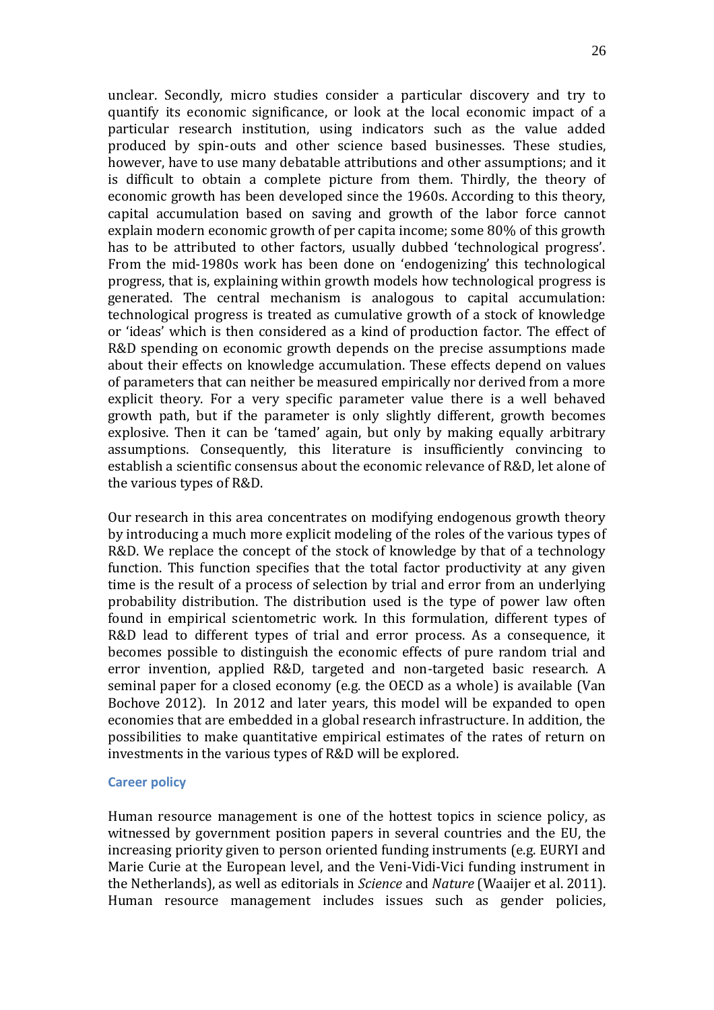unclear. Secondly, micro studies consider a particular discovery and try to quantify its economic significance, or look at the local economic impact of a particular research institution, using indicators such as the value added produced by spin-outs and other science based businesses. These studies, however, have to use many debatable attributions and other assumptions; and it is difficult to obtain a complete picture from them. Thirdly, the theory of economic growth has been developed since the 1960s. According to this theory, capital accumulation based on saving and growth of the labor force cannot explain modern economic growth of per capita income; some 80% of this growth has to be attributed to other factors, usually dubbed 'technological progress'. From the mid-1980s work has been done on 'endogenizing' this technological progress, that is, explaining within growth models how technological progress is generated. The central mechanism is analogous to capital accumulation: technological progress is treated as cumulative growth of a stock of knowledge or 'ideas' which is then considered as a kind of production factor. The effect of R&D spending on economic growth depends on the precise assumptions made about their effects on knowledge accumulation. These effects depend on values of parameters that can neither be measured empirically nor derived from a more explicit theory. For a very specific parameter value there is a well behaved growth path, but if the parameter is only slightly different, growth becomes explosive. Then it can be 'tamed' again, but only by making equally arbitrary assumptions. Consequently, this literature is insufficiently convincing to establish a scientific consensus about the economic relevance of R&D, let alone of the various types of R&D.

Our research in this area concentrates on modifying endogenous growth theory by introducing a much more explicit modeling of the roles of the various types of R&D. We replace the concept of the stock of knowledge by that of a technology function. This function specifies that the total factor productivity at any given time is the result of a process of selection by trial and error from an underlying probability distribution. The distribution used is the type of power law often found in empirical scientometric work. In this formulation, different types of R&D lead to different types of trial and error process. As a consequence, it becomes possible to distinguish the economic effects of pure random trial and error invention, applied R&D, targeted and non-targeted basic research. A seminal paper for a closed economy (e.g. the OECD as a whole) is available (Van Bochove 2012). In 2012 and later years, this model will be expanded to open economies that are embedded in a global research infrastructure. In addition, the possibilities to make quantitative empirical estimates of the rates of return on investments in the various types of R&D will be explored.

#### **Career policy**

Human resource management is one of the hottest topics in science policy, as witnessed by government position papers in several countries and the EU, the increasing priority given to person oriented funding instruments (e.g. EURYI and Marie Curie at the European level, and the Veni-Vidi-Vici funding instrument in the Netherlands), as well as editorials in *Science* and *Nature* (Waaijer et al. 2011). Human resource management includes issues such as gender policies,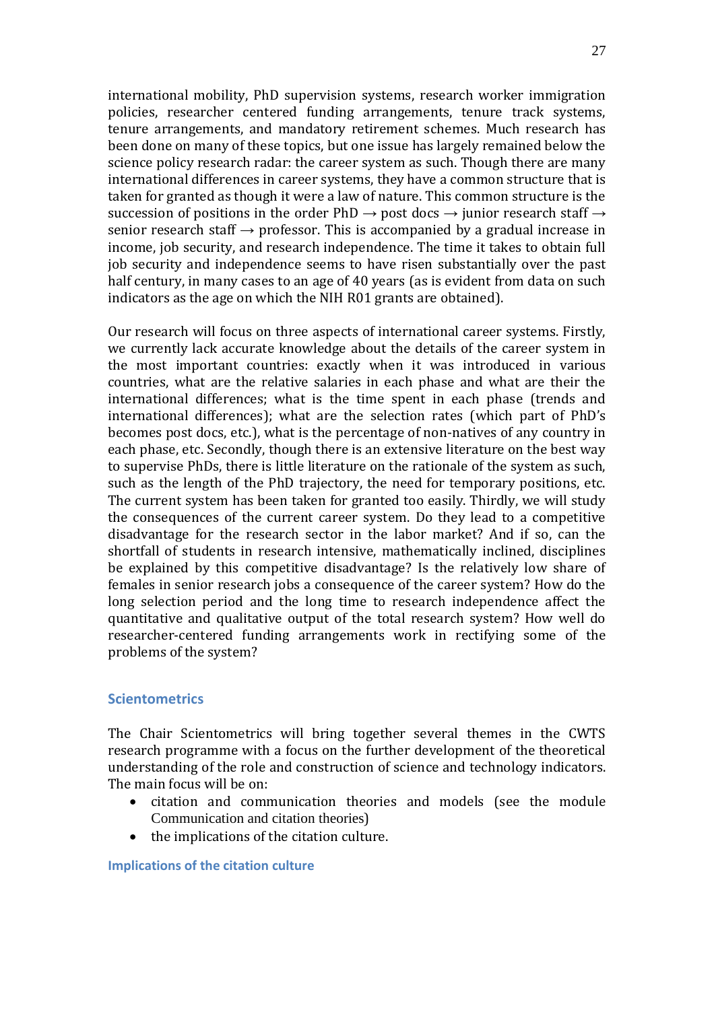international mobility, PhD supervision systems, research worker immigration policies, researcher centered funding arrangements, tenure track systems, tenure arrangements, and mandatory retirement schemes. Much research has been done on many of these topics, but one issue has largely remained below the science policy research radar: the career system as such. Though there are many international differences in career systems, they have a common structure that is taken for granted as though it were a law of nature. This common structure is the succession of positions in the order PhD  $\rightarrow$  post docs  $\rightarrow$  junior research staff  $\rightarrow$ senior research staff  $\rightarrow$  professor. This is accompanied by a gradual increase in income, job security, and research independence. The time it takes to obtain full job security and independence seems to have risen substantially over the past half century, in many cases to an age of 40 years (as is evident from data on such indicators as the age on which the NIH R01 grants are obtained).

Our research will focus on three aspects of international career systems. Firstly, we currently lack accurate knowledge about the details of the career system in the most important countries: exactly when it was introduced in various countries, what are the relative salaries in each phase and what are their the international differences; what is the time spent in each phase (trends and international differences); what are the selection rates (which part of PhD's becomes post docs, etc.), what is the percentage of non-natives of any country in each phase, etc. Secondly, though there is an extensive literature on the best way to supervise PhDs, there is little literature on the rationale of the system as such, such as the length of the PhD trajectory, the need for temporary positions, etc. The current system has been taken for granted too easily. Thirdly, we will study the consequences of the current career system. Do they lead to a competitive disadvantage for the research sector in the labor market? And if so, can the shortfall of students in research intensive, mathematically inclined, disciplines be explained by this competitive disadvantage? Is the relatively low share of females in senior research jobs a consequence of the career system? How do the long selection period and the long time to research independence affect the quantitative and qualitative output of the total research system? How well do researcher-centered funding arrangements work in rectifying some of the problems of the system?

## **Scientometrics**

The Chair Scientometrics will bring together several themes in the CWTS research programme with a focus on the further development of the theoretical understanding of the role and construction of science and technology indicators. The main focus will be on:

- citation and communication theories and models (see the module [Communication and citation theories](#page-15-0))
- the implications of the citation culture.

**Implications of the citation culture**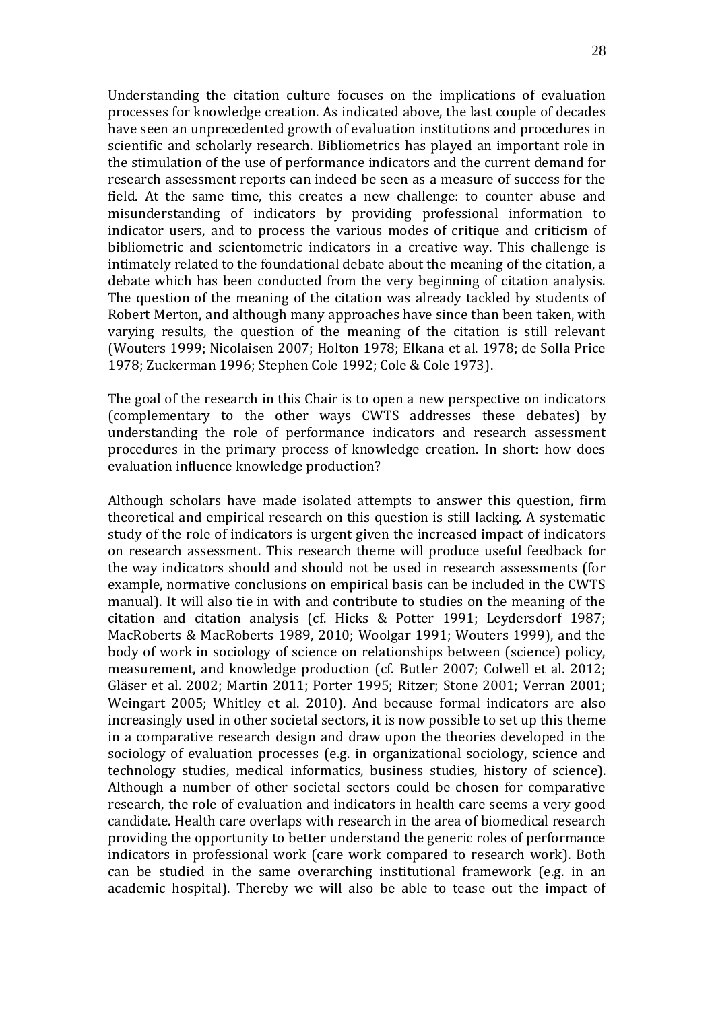Understanding the citation culture focuses on the implications of evaluation processes for knowledge creation. As indicated above, the last couple of decades have seen an unprecedented growth of evaluation institutions and procedures in scientific and scholarly research. Bibliometrics has played an important role in the stimulation of the use of performance indicators and the current demand for research assessment reports can indeed be seen as a measure of success for the field. At the same time, this creates a new challenge: to counter abuse and misunderstanding of indicators by providing professional information to indicator users, and to process the various modes of critique and criticism of bibliometric and scientometric indicators in a creative way. This challenge is intimately related to the foundational debate about the meaning of the citation, a debate which has been conducted from the very beginning of citation analysis. The question of the meaning of the citation was already tackled by students of Robert Merton, and although many approaches have since than been taken, with varying results, the question of the meaning of the citation is still relevant (Wouters 1999; Nicolaisen 2007; Holton 1978; Elkana et al. 1978; de Solla Price 1978; Zuckerman 1996; Stephen Cole 1992; Cole & Cole 1973).

The goal of the research in this Chair is to open a new perspective on indicators (complementary to the other ways CWTS addresses these debates) by understanding the role of performance indicators and research assessment procedures in the primary process of knowledge creation. In short: how does evaluation influence knowledge production?

Although scholars have made isolated attempts to answer this question, firm theoretical and empirical research on this question is still lacking. A systematic study of the role of indicators is urgent given the increased impact of indicators on research assessment. This research theme will produce useful feedback for the way indicators should and should not be used in research assessments (for example, normative conclusions on empirical basis can be included in the CWTS manual). It will also tie in with and contribute to studies on the meaning of the citation and citation analysis (cf. Hicks & Potter 1991; Leydersdorf 1987; MacRoberts & MacRoberts 1989, 2010; Woolgar 1991; Wouters 1999), and the body of work in sociology of science on relationships between (science) policy, measurement, and knowledge production (cf. Butler 2007; Colwell et al. 2012; Gläser et al. 2002; Martin 2011; Porter 1995; Ritzer; Stone 2001; Verran 2001; Weingart 2005; Whitley et al. 2010). And because formal indicators are also increasingly used in other societal sectors, it is now possible to set up this theme in a comparative research design and draw upon the theories developed in the sociology of evaluation processes (e.g. in organizational sociology, science and technology studies, medical informatics, business studies, history of science). Although a number of other societal sectors could be chosen for comparative research, the role of evaluation and indicators in health care seems a very good candidate. Health care overlaps with research in the area of biomedical research providing the opportunity to better understand the generic roles of performance indicators in professional work (care work compared to research work). Both can be studied in the same overarching institutional framework (e.g. in an academic hospital). Thereby we will also be able to tease out the impact of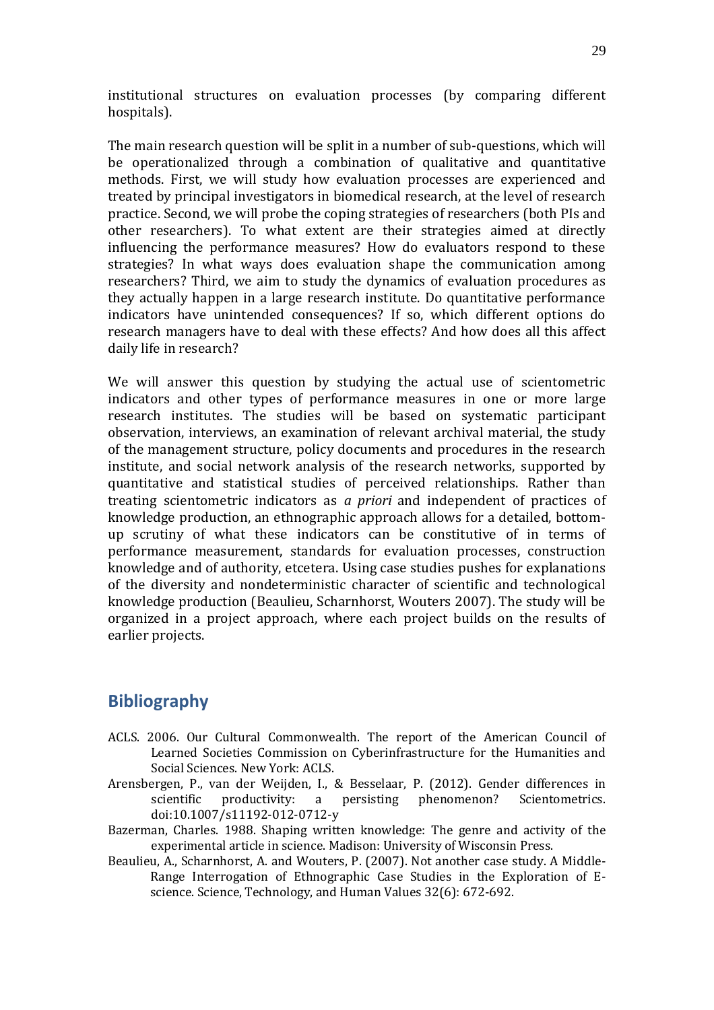institutional structures on evaluation processes (by comparing different hospitals).

The main research question will be split in a number of sub-questions, which will be operationalized through a combination of qualitative and quantitative methods. First, we will study how evaluation processes are experienced and treated by principal investigators in biomedical research, at the level of research practice. Second, we will probe the coping strategies of researchers (both PIs and other researchers). To what extent are their strategies aimed at directly influencing the performance measures? How do evaluators respond to these strategies? In what ways does evaluation shape the communication among researchers? Third, we aim to study the dynamics of evaluation procedures as they actually happen in a large research institute. Do quantitative performance indicators have unintended consequences? If so, which different options do research managers have to deal with these effects? And how does all this affect daily life in research?

We will answer this question by studying the actual use of scientometric indicators and other types of performance measures in one or more large research institutes. The studies will be based on systematic participant observation, interviews, an examination of relevant archival material, the study of the management structure, policy documents and procedures in the research institute, and social network analysis of the research networks, supported by quantitative and statistical studies of perceived relationships. Rather than treating scientometric indicators as *a priori* and independent of practices of knowledge production, an ethnographic approach allows for a detailed, bottomup scrutiny of what these indicators can be constitutive of in terms of performance measurement, standards for evaluation processes, construction knowledge and of authority, etcetera. Using case studies pushes for explanations of the diversity and nondeterministic character of scientific and technological knowledge production (Beaulieu, Scharnhorst, Wouters 2007). The study will be organized in a project approach, where each project builds on the results of earlier projects.

# **Bibliography**

- ACLS. 2006. Our Cultural Commonwealth. The report of the American Council of Learned Societies Commission on Cyberinfrastructure for the Humanities and Social Sciences. New York: ACLS.
- Arensbergen, P., van der Weijden, I., & Besselaar, P. (2012). Gender differences in scientific productivity: a persisting phenomenon? Scientometrics. doi:10.1007/s11192-012-0712-y
- Bazerman, Charles. 1988. Shaping written knowledge: The genre and activity of the experimental article in science. Madison: University of Wisconsin Press.
- Beaulieu, A., Scharnhorst, A. and Wouters, P. (2007). Not another case study. A Middle-Range Interrogation of Ethnographic Case Studies in the Exploration of Escience. Science, Technology, and Human Values 32(6): 672-692.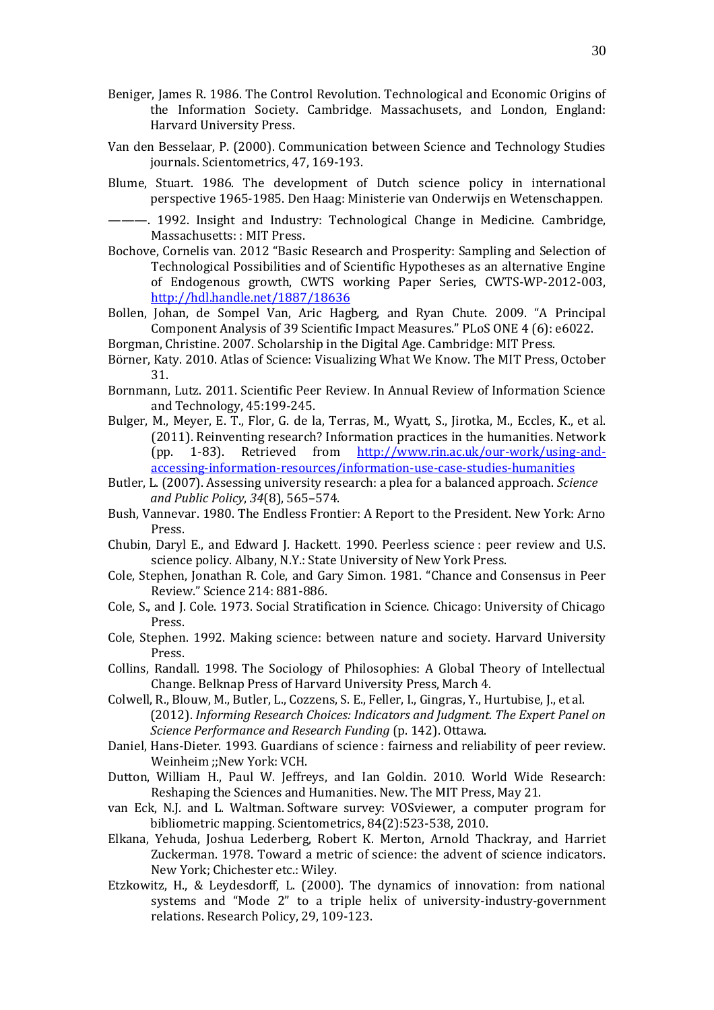- Beniger, James R. 1986. The Control Revolution. Technological and Economic Origins of the Information Society. Cambridge. Massachusets, and London, England: Harvard University Press.
- Van den Besselaar, P. (2000). Communication between Science and Technology Studies journals. Scientometrics, 47, 169-193.
- Blume, Stuart. 1986. The development of Dutch science policy in international perspective 1965-1985. Den Haag: Ministerie van Onderwijs en Wetenschappen.
- ———. 1992. Insight and Industry: Technological Change in Medicine. Cambridge, Massachusetts: : MIT Press.
- Bochove, Cornelis van. 2012 "Basic Research and Prosperity: Sampling and Selection of Technological Possibilities and of Scientific Hypotheses as an alternative Engine of Endogenous growth, CWTS working Paper Series, CWTS-WP-2012-003, <http://hdl.handle.net/1887/18636>
- Bollen, Johan, de Sompel Van, Aric Hagberg, and Ryan Chute. 2009. "A Principal Component Analysis of 39 Scientific Impact Measures." PLoS ONE 4 (6): e6022.

Borgman, Christine. 2007. Scholarship in the Digital Age. Cambridge: MIT Press.

- Börner, Katy. 2010. Atlas of Science: Visualizing What We Know. The MIT Press, October 31.
- Bornmann, Lutz. 2011. Scientific Peer Review. In Annual Review of Information Science and Technology, 45:199-245.
- Bulger, M., Meyer, E. T., Flor, G. de la, Terras, M., Wyatt, S., Jirotka, M., Eccles, K., et al. (2011). Reinventing research? Information practices in the humanities. Network (pp. 1-83). Retrieved from [http://www.rin.ac.uk/our-work/using-and](http://www.rin.ac.uk/our-work/using-and-accessing-information-resources/information-use-case-studies-humanities)[accessing-information-resources/information-use-case-studies-humanities](http://www.rin.ac.uk/our-work/using-and-accessing-information-resources/information-use-case-studies-humanities)
- Butler, L. (2007). Assessing university research: a plea for a balanced approach. *Science and Public Policy*, *34*(8), 565–574.
- Bush, Vannevar. 1980. The Endless Frontier: A Report to the President. New York: Arno Press.
- Chubin, Daryl E., and Edward J. Hackett. 1990. Peerless science : peer review and U.S. science policy. Albany, N.Y.: State University of New York Press.
- Cole, Stephen, Jonathan R. Cole, and Gary Simon. 1981. "Chance and Consensus in Peer Review." Science 214: 881-886.
- Cole, S., and J. Cole. 1973. Social Stratification in Science. Chicago: University of Chicago Press.
- Cole, Stephen. 1992. Making science: between nature and society. Harvard University Press.
- Collins, Randall. 1998. The Sociology of Philosophies: A Global Theory of Intellectual Change. Belknap Press of Harvard University Press, March 4.
- Colwell, R., Blouw, M., Butler, L., Cozzens, S. E., Feller, I., Gingras, Y., Hurtubise, J., et al. (2012). *Informing Research Choices: Indicators and Judgment. The Expert Panel on Science Performance and Research Funding* (p. 142). Ottawa.
- Daniel, Hans-Dieter. 1993. Guardians of science : fairness and reliability of peer review. Weinheim ;;New York: VCH.
- Dutton, William H., Paul W. Jeffreys, and Ian Goldin. 2010. World Wide Research: Reshaping the Sciences and Humanities. New. The MIT Press, May 21.
- van Eck, N.J. and L. Waltman. Software survey: VOSviewer, a computer program for bibliometric mapping. Scientometrics, 84(2):523-538, 2010.
- Elkana, Yehuda, Joshua Lederberg, Robert K. Merton, Arnold Thackray, and Harriet Zuckerman. 1978. Toward a metric of science: the advent of science indicators. New York; Chichester etc.: Wiley.
- Etzkowitz, H., & Leydesdorff, L. (2000). The dynamics of innovation: from national systems and "Mode 2" to a triple helix of university-industry-government relations. Research Policy, 29, 109-123.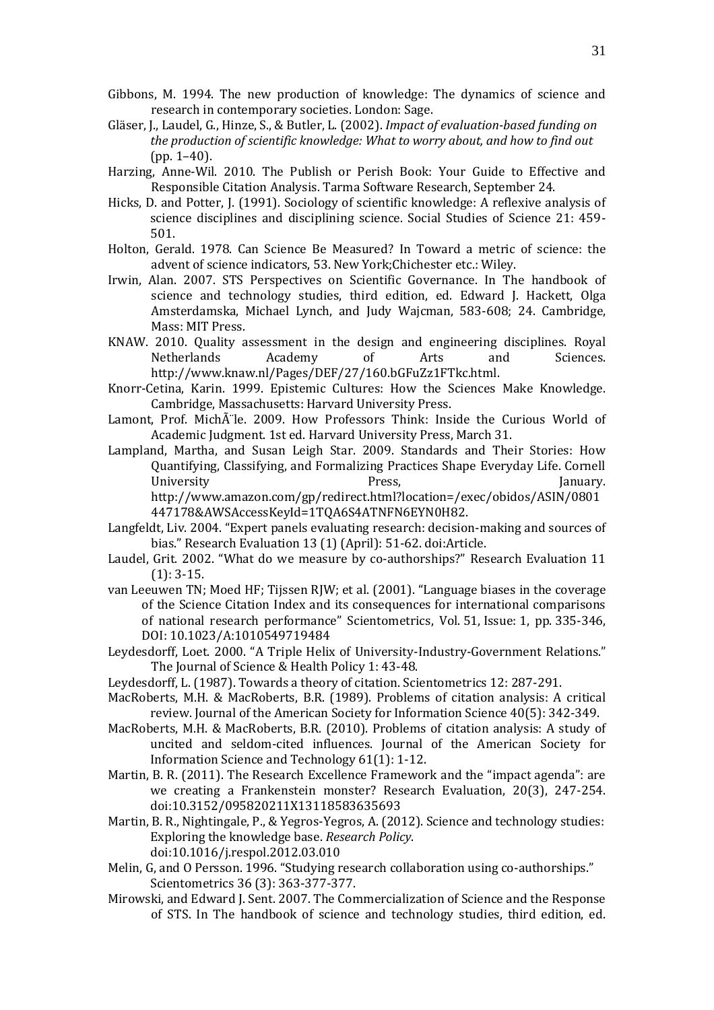- Gibbons, M. 1994. The new production of knowledge: The dynamics of science and research in contemporary societies. London: Sage.
- Gläser, J., Laudel, G., Hinze, S., & Butler, L. (2002). *Impact of evaluation-based funding on the production of scientific knowledge: What to worry about, and how to find out* (pp. 1–40).
- Harzing, Anne-Wil. 2010. The Publish or Perish Book: Your Guide to Effective and Responsible Citation Analysis. Tarma Software Research, September 24.
- Hicks, D. and Potter, J. (1991). Sociology of scientific knowledge: A reflexive analysis of science disciplines and disciplining science. Social Studies of Science 21: 459- 501.
- Holton, Gerald. 1978. Can Science Be Measured? In Toward a metric of science: the advent of science indicators, 53. New York;Chichester etc.: Wiley.
- Irwin, Alan. 2007. STS Perspectives on Scientific Governance. In The handbook of science and technology studies, third edition, ed. Edward J. Hackett, Olga Amsterdamska, Michael Lynch, and Judy Wajcman, 583-608; 24. Cambridge, Mass: MIT Press.
- KNAW. 2010. Quality assessment in the design and engineering disciplines. Royal Netherlands Academy of Arts and Sciences. http://www.knaw.nl/Pages/DEF/27/160.bGFuZz1FTkc.html.
- Knorr-Cetina, Karin. 1999. Epistemic Cultures: How the Sciences Make Knowledge. Cambridge, Massachusetts: Harvard University Press.
- Lamont, Prof. Michà le. 2009. How Professors Think: Inside the Curious World of Academic Judgment. 1st ed. Harvard University Press, March 31.
- Lampland, Martha, and Susan Leigh Star. 2009. Standards and Their Stories: How Quantifying, Classifying, and Formalizing Practices Shape Everyday Life. Cornell University **Press, The South Strategies (Separate Strategies Area** Strategies Area Strategies Area Strategies Ar http://www.amazon.com/gp/redirect.html?location=/exec/obidos/ASIN/0801 447178&AWSAccessKeyId=1TQA6S4ATNFN6EYN0H82.
- Langfeldt, Liv. 2004. "Expert panels evaluating research: decision-making and sources of bias." Research Evaluation 13 (1) (April): 51-62. doi:Article.
- Laudel, Grit. 2002. "What do we measure by co-authorships?" Research Evaluation 11 (1): 3-15.
- van Leeuwen TN; Moed HF; Tijssen RJW; et al. (2001). "Language biases in the coverage of the Science Citation Index and its consequences for international comparisons of national research performance" Scientometrics, Vol. 51, Issue: 1, pp. 335-346, DOI: 10.1023/A:1010549719484
- Leydesdorff, Loet. 2000. "A Triple Helix of University-Industry-Government Relations." The Journal of Science & Health Policy 1: 43-48.
- Leydesdorff, L. (1987). Towards a theory of citation. Scientometrics 12: 287-291.
- MacRoberts, M.H. & MacRoberts, B.R. (1989). Problems of citation analysis: A critical review. Journal of the American Society for Information Science 40(5): 342-349.
- MacRoberts, M.H. & MacRoberts, B.R. (2010). Problems of citation analysis: A study of uncited and seldom-cited influences. Journal of the American Society for Information Science and Technology 61(1): 1-12.
- Martin, B. R. (2011). The Research Excellence Framework and the "impact agenda": are we creating a Frankenstein monster? Research Evaluation, 20(3), 247-254. doi:10.3152/095820211X13118583635693
- Martin, B. R., Nightingale, P., & Yegros-Yegros, A. (2012). Science and technology studies: Exploring the knowledge base. *Research Policy*. doi:10.1016/j.respol.2012.03.010
- Melin, G, and O Persson. 1996. "Studying research collaboration using co-authorships." Scientometrics 36 (3): 363-377-377.
- Mirowski, and Edward J. Sent. 2007. The Commercialization of Science and the Response of STS. In The handbook of science and technology studies, third edition, ed.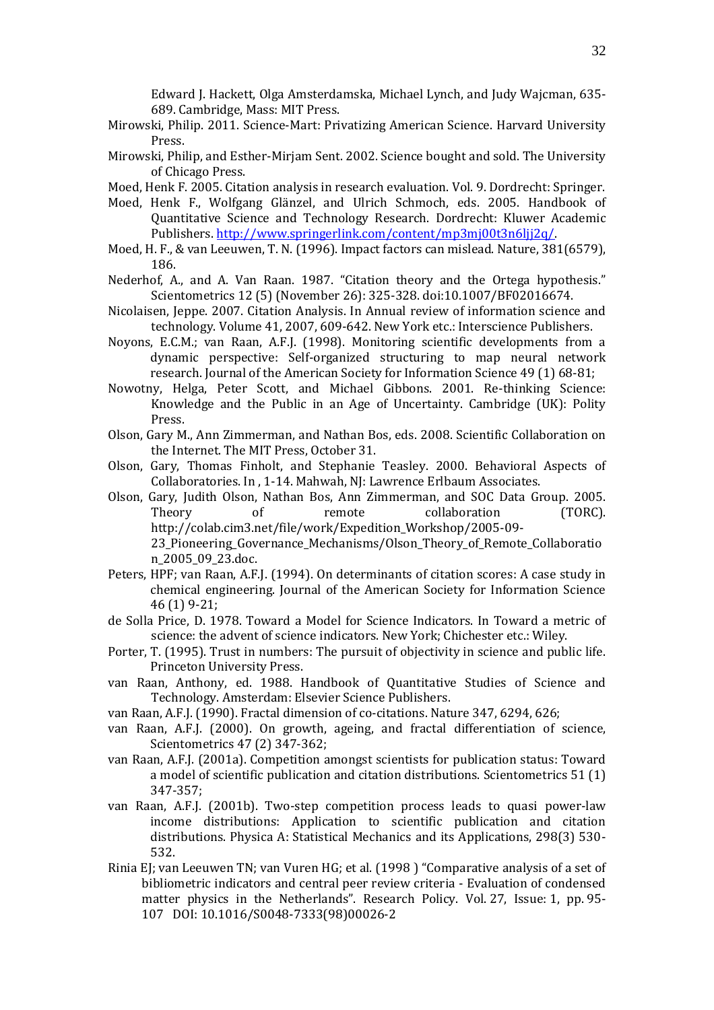Edward J. Hackett, Olga Amsterdamska, Michael Lynch, and Judy Wajcman, 635- 689. Cambridge, Mass: MIT Press.

- Mirowski, Philip. 2011. Science-Mart: Privatizing American Science. Harvard University Press.
- Mirowski, Philip, and Esther-Mirjam Sent. 2002. Science bought and sold. The University of Chicago Press.
- Moed, Henk F. 2005. Citation analysis in research evaluation. Vol. 9. Dordrecht: Springer.
- Moed, Henk F., Wolfgang Glänzel, and Ulrich Schmoch, eds. 2005. Handbook of Quantitative Science and Technology Research. Dordrecht: Kluwer Academic Publishers[. http://www.springerlink.com/content/mp3mj00t3n6ljj2q/.](http://www.springerlink.com/content/mp3mj00t3n6ljj2q/)
- Moed, H. F., & van Leeuwen, T. N. (1996). Impact factors can mislead. Nature, 381(6579), 186.
- Nederhof, A., and A. Van Raan. 1987. "Citation theory and the Ortega hypothesis." Scientometrics 12 (5) (November 26): 325-328. doi:10.1007/BF02016674.
- Nicolaisen, Jeppe. 2007. Citation Analysis. In Annual review of information science and technology. Volume 41, 2007, 609-642. New York etc.: Interscience Publishers.
- Noyons, E.C.M.; van Raan, A.F.J. (1998). Monitoring scientific developments from a dynamic perspective: Self-organized structuring to map neural network research. Journal of the American Society for Information Science 49 (1) 68-81;
- Nowotny, Helga, Peter Scott, and Michael Gibbons. 2001. Re-thinking Science: Knowledge and the Public in an Age of Uncertainty. Cambridge (UK): Polity Press.
- Olson, Gary M., Ann Zimmerman, and Nathan Bos, eds. 2008. Scientific Collaboration on the Internet. The MIT Press, October 31.
- Olson, Gary, Thomas Finholt, and Stephanie Teasley. 2000. Behavioral Aspects of Collaboratories. In , 1-14. Mahwah, NJ: Lawrence Erlbaum Associates.
- Olson, Gary, Judith Olson, Nathan Bos, Ann Zimmerman, and SOC Data Group. 2005. Theory of remote collaboration (TORC). http://colab.cim3.net/file/work/Expedition\_Workshop/2005-09- 23\_Pioneering\_Governance\_Mechanisms/Olson\_Theory\_of\_Remote\_Collaboratio n\_2005\_09\_23.doc.
- Peters, HPF; van Raan, A.F.J. (1994). On determinants of citation scores: A case study in chemical engineering. Journal of the American Society for Information Science 46 (1) 9-21;
- de Solla Price, D. 1978. Toward a Model for Science Indicators. In Toward a metric of science: the advent of science indicators. New York; Chichester etc.: Wiley.
- Porter, T. (1995). Trust in numbers: The pursuit of objectivity in science and public life. Princeton University Press.
- van Raan, Anthony, ed. 1988. Handbook of Quantitative Studies of Science and Technology. Amsterdam: Elsevier Science Publishers.
- van Raan, A.F.J. (1990). Fractal dimension of co-citations. Nature 347, 6294, 626;
- van Raan, A.F.J. (2000). On growth, ageing, and fractal differentiation of science, Scientometrics 47 (2) 347-362;
- van Raan, A.F.J. (2001a). Competition amongst scientists for publication status: Toward a model of scientific publication and citation distributions. Scientometrics 51 (1) 347-357;
- van Raan, A.F.J. (2001b). Two-step competition process leads to quasi power-law income distributions: Application to scientific publication and citation distributions. Physica A: Statistical Mechanics and its Applications, 298(3) 530- 532.
- Rinia EJ; van Leeuwen TN; van Vuren HG; et al. (1998 ) "Comparative analysis of a set of bibliometric indicators and central peer review criteria - Evaluation of condensed matter physics in the Netherlands". Research Policy. Vol. 27, Issue: 1, pp. 95- 107 DOI: 10.1016/S0048-7333(98)00026-2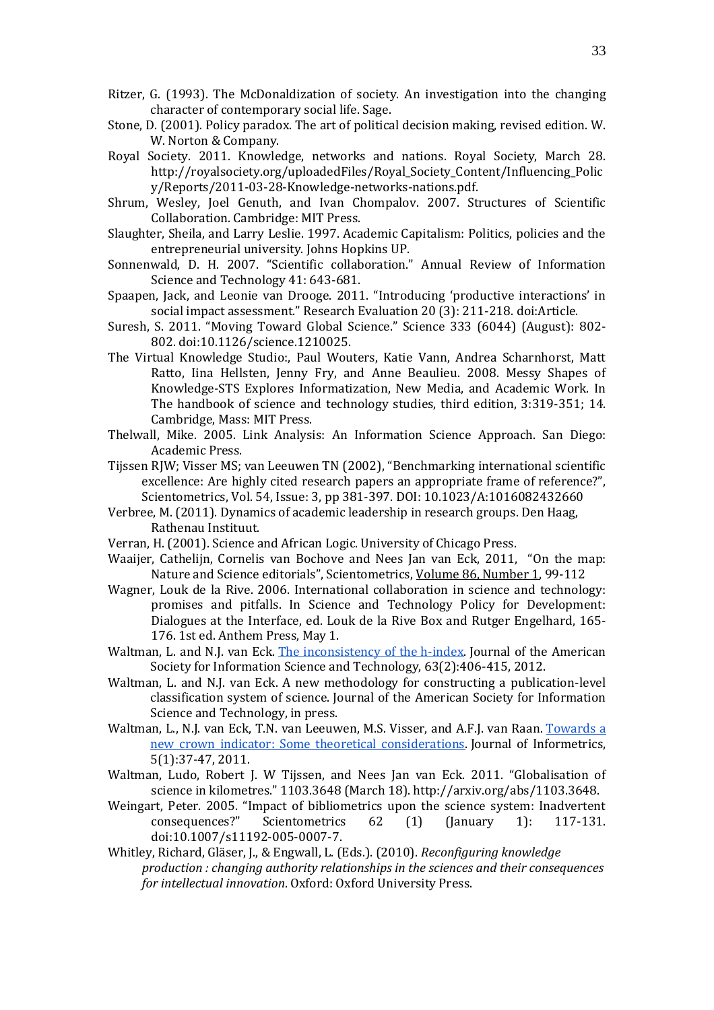- Ritzer, G. (1993). The McDonaldization of society. An investigation into the changing character of contemporary social life. Sage.
- Stone, D. (2001). Policy paradox. The art of political decision making, revised edition. W. W. Norton & Company.
- Royal Society. 2011. Knowledge, networks and nations. Royal Society, March 28. http://royalsociety.org/uploadedFiles/Royal\_Society\_Content/Influencing\_Polic y/Reports/2011-03-28-Knowledge-networks-nations.pdf.
- Shrum, Wesley, Joel Genuth, and Ivan Chompalov. 2007. Structures of Scientific Collaboration. Cambridge: MIT Press.
- Slaughter, Sheila, and Larry Leslie. 1997. Academic Capitalism: Politics, policies and the entrepreneurial university. Johns Hopkins UP.
- Sonnenwald, D. H. 2007. "Scientific collaboration." Annual Review of Information Science and Technology 41: 643-681.
- Spaapen, Jack, and Leonie van Drooge. 2011. "Introducing 'productive interactions' in social impact assessment." Research Evaluation 20 (3): 211-218. doi:Article.
- Suresh, S. 2011. "Moving Toward Global Science." Science 333 (6044) (August): 802- 802. doi:10.1126/science.1210025.
- The Virtual Knowledge Studio:, Paul Wouters, Katie Vann, Andrea Scharnhorst, Matt Ratto, Iina Hellsten, Jenny Fry, and Anne Beaulieu. 2008. Messy Shapes of Knowledge-STS Explores Informatization, New Media, and Academic Work. In The handbook of science and technology studies, third edition, 3:319-351; 14. Cambridge, Mass: MIT Press.
- Thelwall, Mike. 2005. Link Analysis: An Information Science Approach. San Diego: Academic Press.
- Tijssen RJW; Visser MS; van Leeuwen TN (2002), "Benchmarking international scientific excellence: Are highly cited research papers an appropriate frame of reference?", Scientometrics, Vol. 54, Issue: 3, pp 381-397. DOI: 10.1023/A:1016082432660
- Verbree, M. (2011). Dynamics of academic leadership in research groups. Den Haag, Rathenau Instituut.
- Verran, H. (2001). Science and African Logic. University of Chicago Press.
- Waaijer, Cathelijn, Cornelis van Bochove and Nees Jan van Eck, 2011, "On the map: Nature and Science editorials", Scientometrics, [Volume 86, Number 1,](http://www.springerlink.com/content/0138-9130/86/1/) 99-112
- Wagner, Louk de la Rive. 2006. International collaboration in science and technology: promises and pitfalls. In Science and Technology Policy for Development: Dialogues at the Interface, ed. Louk de la Rive Box and Rutger Engelhard, 165- 176. 1st ed. Anthem Press, May 1.
- Waltman, L. and N.J. van Eck. [The inconsistency of the](http://dx.doi.org/10.1002/asi.21678) h-index. Journal of the American Society for Information Science and Technology, 63(2):406-415, 2012.
- Waltman, L. and N.J. van Eck. A new methodology for constructing a publication-level classification system of science. Journal of the American Society for Information Science and Technology, in press.
- Waltman, L., N.J. van Eck, T.N. van Leeuwen, M.S. Visser, and A.F.J. van Raan. [Towards a](http://dx.doi.org/10.1016/j.joi.2010.08.001)  [new crown indicator: Some theoretical considerations.](http://dx.doi.org/10.1016/j.joi.2010.08.001) Journal of Informetrics, 5(1):37-47, 2011.
- Waltman, Ludo, Robert J. W Tijssen, and Nees Jan van Eck. 2011. "Globalisation of science in kilometres." 1103.3648 (March 18). http://arxiv.org/abs/1103.3648.
- Weingart, Peter. 2005. "Impact of bibliometrics upon the science system: Inadvertent consequences?" Scientometrics 62 (1) (January 1): 117-131. Scientometrics  $62$  (1) (January 1): 117-131. doi:10.1007/s11192-005-0007-7.
- Whitley, Richard, Gläser, J., & Engwall, L. (Eds.). (2010). *Reconfiguring knowledge production : changing authority relationships in the sciences and their consequences for intellectual innovation*. Oxford: Oxford University Press.